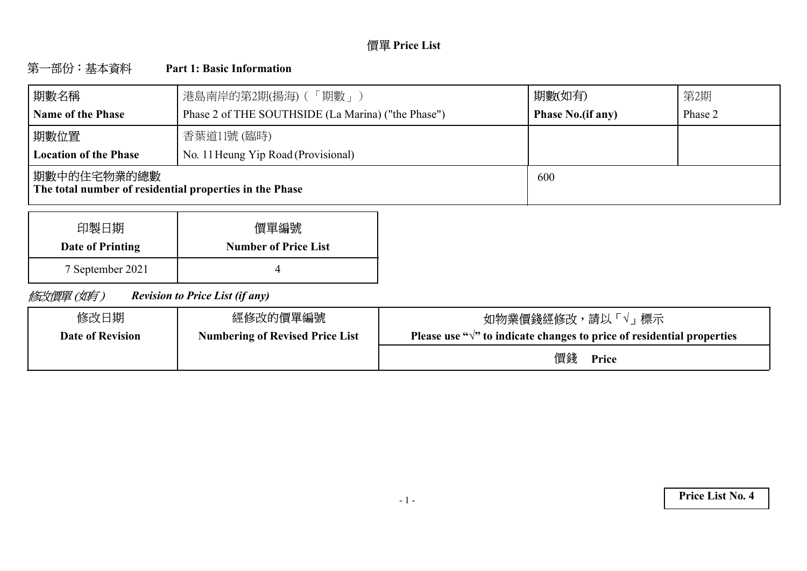# **Price List**

#### 第一部份:基本資料 **Part 1: Basic Information**

| 期數名稱                                                                    | 港島南岸的第2期(揚海) (「期數」)                                | 期數(如有)                   | 第2期     |
|-------------------------------------------------------------------------|----------------------------------------------------|--------------------------|---------|
| <b>Name of the Phase</b>                                                | Phase 2 of THE SOUTHSIDE (La Marina) ("the Phase") | <b>Phase No.(if any)</b> | Phase 2 |
| 期數位置                                                                    | 香葉道11號 (臨時)                                        |                          |         |
| <b>Location of the Phase</b>                                            | No. 11 Heung Yip Road (Provisional)                |                          |         |
| 期數中的住宅物業的總數 <br>The total number of residential properties in the Phase |                                                    | 600                      |         |

| 印製日期             | 價單編號                        |
|------------------|-----------------------------|
| Date of Printing | <b>Number of Price List</b> |
| 7 September 2021 |                             |

修改價單(如有) *Revision to Price List (if any)*

| 修改日期                    | 經修改的價單編號                               | 如物業價錢經修改,請以「√」標示                                                                 |
|-------------------------|----------------------------------------|----------------------------------------------------------------------------------|
| <b>Date of Revision</b> | <b>Numbering of Revised Price List</b> | Please use " $\sqrt{ }$ " to indicate changes to price of residential properties |
|                         |                                        | 價錢<br>Price                                                                      |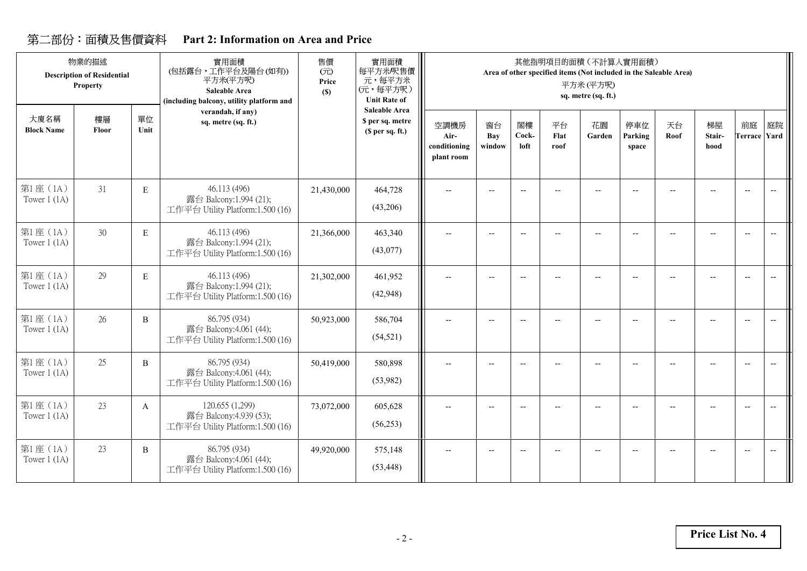## **Part 2: Information on Area and Price**

|                           | 物業的描述<br><b>Description of Residential</b><br>Property |             | 實用面積<br>(包括露台,工作平台及陽台(如有))<br>平方米(平方呎)<br>Saleable Area<br>(including balcony, utility platform and | 售價<br>(元)<br>Price<br>(S) | 實用面積<br>每平方米/呎售價<br>元,每平方米<br>(元,每平方呎)<br><b>Unit Rate of</b> |                                            |                     |                          |                          | 其他指明項目的面積 (不計算入實用面積)<br>Area of other specified items (Not included in the Saleable Area)<br>平方米(平方呎)<br>sq. metre (sq. ft.) |                          |            |                          |                                                     |                          |
|---------------------------|--------------------------------------------------------|-------------|-----------------------------------------------------------------------------------------------------|---------------------------|---------------------------------------------------------------|--------------------------------------------|---------------------|--------------------------|--------------------------|------------------------------------------------------------------------------------------------------------------------------|--------------------------|------------|--------------------------|-----------------------------------------------------|--------------------------|
| 大廈名稱<br><b>Block Name</b> | 樓層<br>Floor                                            | 單位<br>Unit  | verandah, if any)<br>sq. metre (sq. ft.)                                                            |                           | <b>Saleable Area</b><br>\$ per sq. metre<br>(S per sq. ft.)   | 空調機房<br>Air-<br>conditioning<br>plant room | 窗台<br>Bay<br>window | 閣樓<br>Cock-<br>loft      | 平台<br>Flat<br>roof       | 花園<br>Garden                                                                                                                 | 停車位<br>Parking<br>space  | 天台<br>Roof | 梯屋<br>Stair-<br>hood     | 前庭<br><b>Terrace Yard</b>                           | 庭院                       |
| 第1座(1A)<br>Tower $1(1A)$  | 31                                                     | E           | 46.113 (496)<br>露台 Balcony:1.994 (21);<br>工作平台 Utility Platform:1.500 (16)                          | 21,430,000                | 464,728<br>(43,206)                                           | $\overline{a}$                             |                     | $-$                      |                          | $-$                                                                                                                          |                          |            |                          | $\overline{\phantom{a}}$                            | $\overline{\phantom{a}}$ |
| 第1座(1A)<br>Tower $1(1A)$  | 30                                                     | $\mathbf E$ | 46.113 (496)<br>露台 Balcony:1.994 (21);<br>工作平台 Utility Platform:1.500 (16)                          | 21,366,000                | 463,340<br>(43,077)                                           | $-$                                        |                     | $\overline{\phantom{a}}$ | $\overline{\phantom{a}}$ | $-$                                                                                                                          |                          |            |                          | $\overline{\phantom{a}}$                            | $\overline{\phantom{a}}$ |
| 第1座(1A)<br>Tower $1(1A)$  | 29                                                     | E           | 46.113 (496)<br>露台 Balcony:1.994 (21);<br>工作平台 Utility Platform:1.500 (16)                          | 21,302,000                | 461,952<br>(42, 948)                                          | --                                         |                     | $-$                      |                          | --                                                                                                                           | н.                       |            |                          | $\hspace{0.05cm} -\hspace{0.05cm} -\hspace{0.05cm}$ |                          |
| 第1座(1A)<br>Tower $1(1A)$  | 26                                                     | B           | 86.795 (934)<br>露台 Balcony:4.061 (44);<br>工作平台 Utility Platform:1.500 (16)                          | 50,923,000                | 586,704<br>(54, 521)                                          | $\overline{\phantom{m}}$                   |                     | $\overline{\phantom{a}}$ | $\overline{a}$           | --                                                                                                                           | $\overline{\phantom{a}}$ |            | $\overline{\phantom{a}}$ | $\overline{\phantom{a}}$                            | $\overline{\phantom{a}}$ |
| 第1座(1A)<br>Tower $1$ (1A) | 25                                                     | B           | 86.795 (934)<br>露台 Balcony:4.061 (44);<br>工作平台 Utility Platform:1.500 (16)                          | 50,419,000                | 580,898<br>(53,982)                                           | --                                         | $\overline{a}$      | $-$                      |                          |                                                                                                                              | $\overline{a}$           |            |                          | $\overline{\phantom{a}}$                            | $\overline{\phantom{a}}$ |
| 第1座(1A)<br>Tower $1(1A)$  | 23                                                     | A           | 120.655 (1,299)<br>露台 Balcony:4.939 (53);<br>工作平台 Utility Platform:1.500 (16)                       | 73,072,000                | 605,628<br>(56, 253)                                          | --                                         | $\overline{a}$      | $-$                      | $\overline{a}$           | $-$                                                                                                                          | $\overline{\phantom{a}}$ |            |                          | $\overline{\phantom{a}}$                            | $\overline{\phantom{a}}$ |
| 第1座 (1A)<br>Tower $1(1A)$ | 23                                                     | B           | 86.795 (934)<br>露台 Balcony:4.061 (44);<br>工作平台 Utility Platform:1.500 (16)                          | 49,920,000                | 575,148<br>(53, 448)                                          | $-$                                        | $-$                 | $-$                      | $\sim$                   | $-$                                                                                                                          | $\overline{a}$           |            |                          | $\overline{\phantom{a}}$                            | $\overline{a}$           |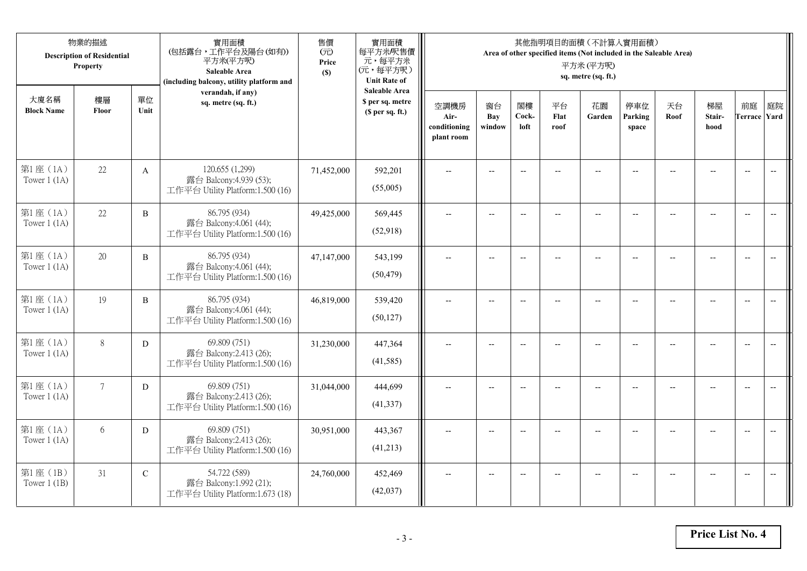|                            | 物業的描述<br><b>Description of Residential</b><br>Property |              | 實用面積<br>(包括露台,工作平台及陽台(如有))<br>平方米(平方呎)<br>Saleable Area<br>(including balcony, utility platform and | 售價<br>(元)<br>Price<br>(S) | 實用面積<br>每平方米/呎售價<br>元,每平方米<br>(元,每平方呎)<br><b>Unit Rate of</b>          |                                            |                          |                          |                          | 其他指明項目的面積 (不計算入實用面積)<br>Area of other specified items (Not included in the Saleable Area)<br>平方米(平方呎)<br>sq. metre (sq. ft.) |                          |                |                                                     |                           |                          |
|----------------------------|--------------------------------------------------------|--------------|-----------------------------------------------------------------------------------------------------|---------------------------|------------------------------------------------------------------------|--------------------------------------------|--------------------------|--------------------------|--------------------------|------------------------------------------------------------------------------------------------------------------------------|--------------------------|----------------|-----------------------------------------------------|---------------------------|--------------------------|
| 大廈名稱<br><b>Block Name</b>  | 樓層<br>Floor                                            | 單位<br>Unit   | verandah, if any)<br>sq. metre (sq. ft.)                                                            |                           | <b>Saleable Area</b><br>\$ per sq. metre<br>(S <sub>per</sub> sq. ft.) | 空調機房<br>Air-<br>conditioning<br>plant room | 窗台<br>Bay<br>window      | 閣樓<br>Cock-<br>loft      | 平台<br>Flat<br>roof       | 花園<br>Garden                                                                                                                 | 停車位<br>Parking<br>space  | 天台<br>Roof     | 梯屋<br>Stair-<br>hood                                | 前庭<br><b>Terrace Yard</b> | 庭院                       |
| 第1座(1A)<br>Tower $1$ (1A)  | 22                                                     | $\mathbf{A}$ | 120.655 (1,299)<br>露台 Balcony:4.939 (53);<br>工作平台 Utility Platform:1.500 (16)                       | 71,452,000                | 592,201<br>(55,005)                                                    |                                            |                          | $\overline{a}$           |                          |                                                                                                                              |                          |                |                                                     | $\overline{a}$            | $\overline{\phantom{a}}$ |
| 第1座(1A)<br>Tower $1$ (1A)  | 22                                                     | B            | 86.795 (934)<br>露台 Balcony:4.061 (44);<br>工作平台 Utility Platform:1.500 (16)                          | 49,425,000                | 569,445<br>(52,918)                                                    | $\overline{\phantom{a}}$                   | $\overline{\phantom{a}}$ | $\overline{a}$           |                          | $\overline{\phantom{a}}$                                                                                                     | $-$                      |                | $\overline{a}$                                      | $-$                       |                          |
| 第1座 (1A)<br>Tower $1$ (1A) | 20                                                     | $\, {\bf B}$ | 86.795 (934)<br>露台 Balcony:4.061 (44);<br>工作平台 Utility Platform:1.500 (16)                          | 47,147,000                | 543,199<br>(50, 479)                                                   |                                            | $\overline{\phantom{a}}$ | $-$                      | $-$                      | $-$                                                                                                                          |                          |                | $\overline{\phantom{a}}$                            | $\overline{\phantom{a}}$  |                          |
| 第1座(1A)<br>Tower $1(1A)$   | 19                                                     | $\, {\bf B}$ | 86.795 (934)<br>露台 Balcony:4.061 (44);<br>工作平台 Utility Platform:1.500 (16)                          | 46,819,000                | 539,420<br>(50, 127)                                                   | $-$                                        | $\overline{\phantom{m}}$ | $\overline{\phantom{a}}$ | $\overline{\phantom{a}}$ | $-$                                                                                                                          | $\overline{\phantom{a}}$ | $\overline{a}$ | $\hspace{0.05cm} -\hspace{0.05cm} -\hspace{0.05cm}$ | $\overline{\phantom{a}}$  | $\overline{\phantom{m}}$ |
| 第1座(1A)<br>Tower $1(1A)$   | 8                                                      | D            | 69.809 (751)<br>露台 Balcony:2.413 (26);<br>工作平台 Utility Platform:1.500 (16)                          | 31,230,000                | 447,364<br>(41,585)                                                    | $\sim$                                     | $\overline{a}$           | $\overline{a}$           | $\overline{a}$           | $\overline{\phantom{a}}$                                                                                                     | $\overline{a}$           |                | $\overline{a}$                                      | $\overline{\phantom{a}}$  | $\overline{\phantom{a}}$ |
| 第1座(1A)<br>Tower $1$ (1A)  | $7\overline{ }$                                        | D            | 69.809 (751)<br>露台 Balcony:2.413 (26);<br>工作平台 Utility Platform:1.500 (16)                          | 31,044,000                | 444,699<br>(41, 337)                                                   | $\overline{\phantom{a}}$                   | $\overline{a}$           | $\overline{\phantom{a}}$ |                          | $-$                                                                                                                          | $-$                      | $-$            | $\overline{a}$                                      | $\overline{\phantom{a}}$  | $\overline{a}$           |
| 第1座 (1A)<br>Tower $1(1A)$  | 6                                                      | D            | 69.809 (751)<br>露台 Balcony:2.413 (26);<br>工作平台 Utility Platform:1.500 (16)                          | 30,951,000                | 443,367<br>(41,213)                                                    |                                            |                          | $\overline{\phantom{a}}$ |                          |                                                                                                                              |                          |                |                                                     | $\overline{\phantom{a}}$  | $\overline{a}$           |
| 第1座 (1B)<br>Tower $1$ (1B) | 31                                                     | $\mathbf C$  | 54.722 (589)<br>露台 Balcony:1.992 (21);<br>工作平台 Utility Platform:1.673 (18)                          | 24,760,000                | 452,469<br>(42, 037)                                                   | $\overline{\phantom{a}}$                   | $-$                      | $\overline{\phantom{a}}$ |                          | $\overline{a}$                                                                                                               |                          |                | $-$                                                 | $-$                       | $\overline{\phantom{a}}$ |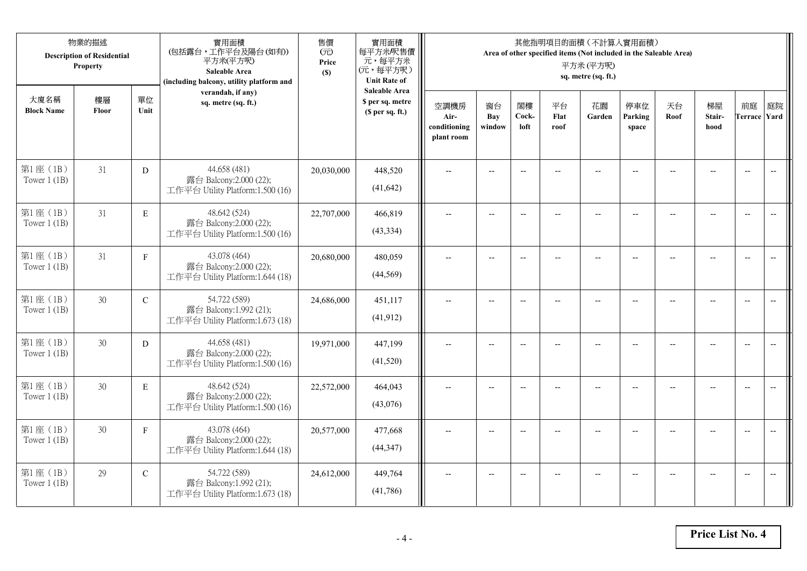|                            | 物業的描述<br><b>Description of Residential</b><br>Property |               | 實用面積<br>(包括露台,工作平台及陽台(如有))<br>平方米(平方呎)<br>Saleable Area<br>(including balcony, utility platform and | 售價<br>(元)<br>Price<br>(S) | 實用面積<br>每平方米/呎售價<br>元,每平方米<br>(元,每平方呎)<br><b>Unit Rate of</b> |                                            |                          |                          |                    | 其他指明項目的面積 (不計算入實用面積)<br>Area of other specified items (Not included in the Saleable Area)<br>平方米(平方呎)<br>sq. metre (sq. ft.) |                          |            |                          |                           |                          |
|----------------------------|--------------------------------------------------------|---------------|-----------------------------------------------------------------------------------------------------|---------------------------|---------------------------------------------------------------|--------------------------------------------|--------------------------|--------------------------|--------------------|------------------------------------------------------------------------------------------------------------------------------|--------------------------|------------|--------------------------|---------------------------|--------------------------|
| 大廈名稱<br><b>Block Name</b>  | 樓層<br>Floor                                            | 單位<br>Unit    | verandah, if any)<br>sq. metre (sq. ft.)                                                            |                           | <b>Saleable Area</b><br>\$ per sq. metre<br>(\$ per sq. ft.)  | 空調機房<br>Air-<br>conditioning<br>plant room | 窗台<br>Bay<br>window      | 閣樓<br>Cock-<br>loft      | 平台<br>Flat<br>roof | 花園<br>Garden                                                                                                                 | 停車位<br>Parking<br>space  | 天台<br>Roof | 梯屋<br>Stair-<br>hood     | 前庭<br><b>Terrace Yard</b> | 庭院                       |
| 第1座(1B)<br>Tower $1$ (1B)  | 31                                                     | D             | 44.658 (481)<br>露台 Balcony:2.000 (22);<br>工作平台 Utility Platform:1.500 (16)                          | 20,030,000                | 448,520<br>(41, 642)                                          |                                            |                          | $-$                      |                    |                                                                                                                              |                          |            |                          | $\overline{\phantom{a}}$  | $\overline{\phantom{a}}$ |
| 第1座(1B)<br>Tower $1$ (1B)  | 31                                                     | $\mathbf E$   | 48.642 (524)<br>露台 Balcony:2.000 (22);<br>工作平台 Utility Platform:1.500 (16)                          | 22,707,000                | 466,819<br>(43, 334)                                          | $\overline{\phantom{a}}$                   | $\overline{\phantom{a}}$ | $\overline{\phantom{a}}$ | --                 | $\overline{\phantom{a}}$                                                                                                     | $-$                      | $-$        | $\overline{a}$           | $\overline{a}$            | $-$                      |
| 第1座(1B)<br>Tower $1$ (1B)  | 31                                                     | $\mathbf{F}$  | 43.078 (464)<br>露台 Balcony:2.000 (22);<br>工作平台 Utility Platform:1.644 (18)                          | 20,680,000                | 480,059<br>(44, 569)                                          |                                            | $\overline{a}$           | $\overline{\phantom{a}}$ |                    | $\overline{a}$                                                                                                               |                          |            |                          | $\overline{a}$            |                          |
| 第1座(1B)<br>Tower $1(1B)$   | 30                                                     | ${\bf C}$     | 54.722 (589)<br>露台 Balcony:1.992 (21);<br>工作平台 Utility Platform:1.673 (18)                          | 24,686,000                | 451,117<br>(41, 912)                                          | $\overline{a}$                             | $-$                      | $-$                      | $\overline{a}$     | $\overline{\phantom{a}}$                                                                                                     | $\overline{\phantom{a}}$ |            | $\overline{\phantom{a}}$ | $\overline{a}$            | $\overline{\phantom{m}}$ |
| 第1座 (1B)<br>Tower $1$ (1B) | 30                                                     | D             | 44.658 (481)<br>露台 Balcony:2.000 (22);<br>工作平台 Utility Platform:1.500 (16)                          | 19,971,000                | 447,199<br>(41,520)                                           | $\overline{a}$                             | $- -$                    | $\overline{\phantom{a}}$ | $\qquad \qquad -$  | $-$                                                                                                                          | $-$                      | --         | $-$                      | $\overline{\phantom{m}}$  | $\overline{\phantom{m}}$ |
| 第1座 (1B)<br>Tower $1$ (1B) | 30                                                     | E             | 48.642 (524)<br>露台 Balcony:2.000 (22);<br>工作平台 Utility Platform:1.500 (16)                          | 22,572,000                | 464,043<br>(43,076)                                           |                                            | $-$                      | $-$                      |                    |                                                                                                                              |                          |            | $-$                      | $\overline{a}$            | $-$                      |
| 第1座(1B)<br>Tower $1$ (1B)  | 30                                                     | $\mathbf F$   | 43.078 (464)<br>露台 Balcony:2.000 (22);<br>工作平台 Utility Platform:1.644 (18)                          | 20,577,000                | 477,668<br>(44, 347)                                          |                                            | $-$                      | $\overline{\phantom{a}}$ |                    | $\sim$                                                                                                                       |                          |            | $\overline{a}$           | $-$                       | $\overline{a}$           |
| 第1座 (1B)<br>Tower $1$ (1B) | 29                                                     | $\mathcal{C}$ | 54.722 (589)<br>露台 Balcony:1.992 (21);<br>工作平台 Utility Platform:1.673 (18)                          | 24,612,000                | 449,764<br>(41,786)                                           |                                            | $-$                      |                          |                    | --                                                                                                                           |                          |            |                          | $\overline{\phantom{a}}$  | $-$                      |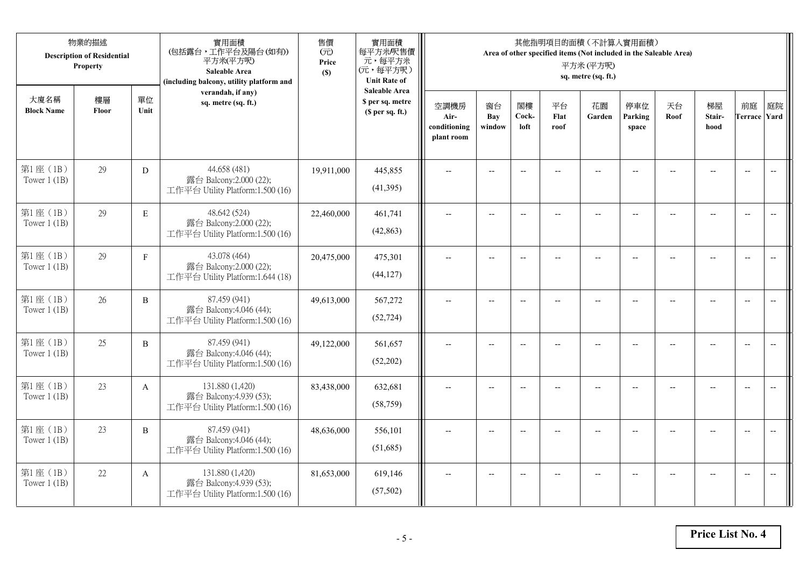|                            | 物業的描述<br><b>Description of Residential</b><br>Property |              | 實用面積<br>(包括露台,工作平台及陽台(如有))<br>平方米(平方呎)<br>Saleable Area<br>(including balcony, utility platform and | 售價<br>(元)<br>Price<br>(S) | 實用面積<br>每平方米/呎售價<br>元,每平方米<br>(元,每平方呎)<br><b>Unit Rate of</b>          |                                            |                          |                          |                          | 其他指明項目的面積 (不計算入實用面積)<br>Area of other specified items (Not included in the Saleable Area)<br>平方米(平方呎)<br>sq. metre (sq. ft.) |                          |                          |                                                     |                           |                          |
|----------------------------|--------------------------------------------------------|--------------|-----------------------------------------------------------------------------------------------------|---------------------------|------------------------------------------------------------------------|--------------------------------------------|--------------------------|--------------------------|--------------------------|------------------------------------------------------------------------------------------------------------------------------|--------------------------|--------------------------|-----------------------------------------------------|---------------------------|--------------------------|
| 大廈名稱<br><b>Block Name</b>  | 樓層<br>Floor                                            | 單位<br>Unit   | verandah, if any)<br>sq. metre (sq. ft.)                                                            |                           | <b>Saleable Area</b><br>\$ per sq. metre<br>(S <sub>per</sub> sq. ft.) | 空調機房<br>Air-<br>conditioning<br>plant room | 窗台<br>Bay<br>window      | 閣樓<br>Cock-<br>loft      | 平台<br>Flat<br>roof       | 花園<br>Garden                                                                                                                 | 停車位<br>Parking<br>space  | 天台<br>Roof               | 梯屋<br>Stair-<br>hood                                | 前庭<br><b>Terrace Yard</b> | 庭院                       |
| 第1座(1B)<br>Tower $1$ (1B)  | 29                                                     | D            | 44.658 (481)<br>露台 Balcony:2.000 (22);<br>工作平台 Utility Platform:1.500 (16)                          | 19,911,000                | 445,855<br>(41,395)                                                    |                                            | $-$                      | $\overline{a}$           |                          |                                                                                                                              |                          |                          |                                                     | $\overline{a}$            | $\overline{\phantom{a}}$ |
| 第1座(1B)<br>Tower $1$ (1B)  | 29                                                     | $\mathbf E$  | 48.642 (524)<br>露台 Balcony:2.000 (22);<br>工作平台 Utility Platform:1.500 (16)                          | 22,460,000                | 461,741<br>(42, 863)                                                   | $\overline{\phantom{a}}$                   | $\overline{\phantom{a}}$ | $\overline{a}$           | $-$                      | $\overline{\phantom{a}}$                                                                                                     | $-$                      | $\overline{\phantom{a}}$ | $\overline{a}$                                      | $-$                       | $\overline{\phantom{m}}$ |
| 第1座(1B)<br>Tower $1$ (1B)  | 29                                                     | $\mathbf F$  | 43.078 (464)<br>露台 Balcony:2.000 (22);<br>工作平台 Utility Platform:1.644 (18)                          | 20,475,000                | 475,301<br>(44, 127)                                                   |                                            | $\overline{\phantom{a}}$ | $\overline{\phantom{a}}$ | $-$                      | $-$                                                                                                                          | --                       |                          | $\overline{\phantom{a}}$                            | $\overline{\phantom{a}}$  |                          |
| 第1座(1B)<br>Tower $1$ (1B)  | 26                                                     | $\, {\bf B}$ | 87.459 (941)<br>露台 Balcony:4.046 (44);<br>工作平台 Utility Platform:1.500 (16)                          | 49,613,000                | 567,272<br>(52, 724)                                                   | $-$                                        | $\overline{\phantom{m}}$ | $\overline{\phantom{a}}$ | $\overline{\phantom{a}}$ | $-$                                                                                                                          | $\overline{\phantom{a}}$ | --                       | $\hspace{0.05cm} -\hspace{0.05cm} -\hspace{0.05cm}$ | $-$                       | $\overline{\phantom{m}}$ |
| 第1座(1B)<br>Tower $1$ (1B)  | 25                                                     | $\, {\bf B}$ | 87.459 (941)<br>露台 Balcony:4.046 (44);<br>工作平台 Utility Platform:1.500 (16)                          | 49,122,000                | 561,657<br>(52,202)                                                    | $\sim$                                     | $\overline{a}$           | $\overline{a}$           | $\overline{a}$           | $\overline{\phantom{a}}$                                                                                                     | $\overline{a}$           |                          | $\overline{a}$                                      | $\overline{\phantom{a}}$  | $\overline{\phantom{a}}$ |
| 第1座(1B)<br>Tower $1$ (1B)  | 23                                                     | A            | 131.880 (1,420)<br>露台 Balcony:4.939 (53);<br>工作平台 Utility Platform:1.500 (16)                       | 83,438,000                | 632,681<br>(58, 759)                                                   | $\overline{\phantom{a}}$                   | $\overline{a}$           | $\overline{\phantom{a}}$ |                          | $\overline{a}$                                                                                                               | $-$                      | $-$                      | $\sim$                                              | $\overline{\phantom{a}}$  | $\sim$                   |
| 第1座 (1B)<br>Tower $1(1B)$  | 23                                                     | B            | 87.459 (941)<br>露台 Balcony:4.046 (44);<br>工作平台 Utility Platform:1.500 (16)                          | 48,636,000                | 556,101<br>(51,685)                                                    |                                            |                          | $\overline{\phantom{a}}$ |                          |                                                                                                                              |                          |                          |                                                     | $\overline{\phantom{a}}$  | $-$                      |
| 第1座 (1B)<br>Tower $1$ (1B) | 22                                                     | A            | 131.880 (1,420)<br>露台 Balcony:4.939 (53);<br>工作平台 Utility Platform:1.500 (16)                       | 81,653,000                | 619,146<br>(57, 502)                                                   | $\overline{\phantom{a}}$                   | $-$                      | $\overline{\phantom{a}}$ | $\overline{a}$           | $\overline{a}$                                                                                                               | $-$                      |                          | $-$                                                 | $-$                       | $\overline{\phantom{a}}$ |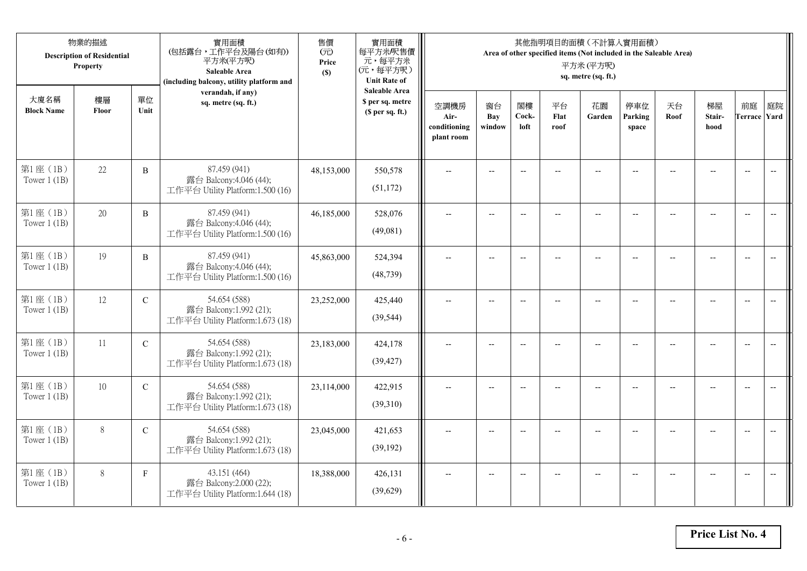|                            | 物業的描述<br><b>Description of Residential</b><br>Property |               | 實用面積<br>(包括露台,工作平台及陽台(如有))<br>平方米(平方呎)<br>Saleable Area<br>(including balcony, utility platform and | 售價<br>(元)<br>Price<br>(S) | 實用面積<br>每平方米/呎售價<br>元,每平方米<br>(元,每平方呎)<br><b>Unit Rate of</b>          |                                            |                          |                          |                          | 其他指明項目的面積 (不計算入實用面積)<br>Area of other specified items (Not included in the Saleable Area)<br>平方米(平方呎)<br>sq. metre (sq. ft.) |                          |                |                                                     |                           |                          |
|----------------------------|--------------------------------------------------------|---------------|-----------------------------------------------------------------------------------------------------|---------------------------|------------------------------------------------------------------------|--------------------------------------------|--------------------------|--------------------------|--------------------------|------------------------------------------------------------------------------------------------------------------------------|--------------------------|----------------|-----------------------------------------------------|---------------------------|--------------------------|
| 大廈名稱<br><b>Block Name</b>  | 樓層<br>Floor                                            | 單位<br>Unit    | verandah, if any)<br>sq. metre (sq. ft.)                                                            |                           | <b>Saleable Area</b><br>\$ per sq. metre<br>(S <sub>per</sub> sq. ft.) | 空調機房<br>Air-<br>conditioning<br>plant room | 窗台<br>Bay<br>window      | 閣樓<br>Cock-<br>loft      | 平台<br>Flat<br>roof       | 花園<br>Garden                                                                                                                 | 停車位<br>Parking<br>space  | 天台<br>Roof     | 梯屋<br>Stair-<br>hood                                | 前庭<br><b>Terrace Yard</b> | 庭院                       |
| 第1座(1B)<br>Tower $1$ (1B)  | 22                                                     | $\, {\bf B}$  | 87.459 (941)<br>露台 Balcony:4.046 (44);<br>工作平台 Utility Platform:1.500 (16)                          | 48,153,000                | 550,578<br>(51, 172)                                                   |                                            |                          | $\overline{a}$           |                          |                                                                                                                              |                          |                |                                                     | $\overline{a}$            | $\overline{\phantom{a}}$ |
| 第1座(1B)<br>Tower $1$ (1B)  | 20                                                     | B             | 87.459 (941)<br>露台 Balcony:4.046 (44);<br>工作平台 Utility Platform:1.500 (16)                          | 46,185,000                | 528,076<br>(49,081)                                                    | $\overline{\phantom{a}}$                   | $\overline{\phantom{a}}$ | $\overline{\phantom{a}}$ |                          | $\overline{\phantom{a}}$                                                                                                     | $-$                      |                | $\overline{a}$                                      | $-$                       |                          |
| 第1座(1B)<br>Tower $1$ (1B)  | 19                                                     | $\, {\bf B}$  | 87.459 (941)<br>露台 Balcony:4.046 (44);<br>工作平台 Utility Platform:1.500 (16)                          | 45,863,000                | 524,394<br>(48, 739)                                                   |                                            | $\overline{\phantom{a}}$ | $-$                      | $-$                      | $-$                                                                                                                          |                          |                | $\overline{\phantom{a}}$                            | $\overline{\phantom{a}}$  |                          |
| 第1座(1B)<br>Tower $1$ (1B)  | 12                                                     | $\mathbf C$   | 54.654 (588)<br>露台 Balcony:1.992 (21);<br>工作平台 Utility Platform:1.673 (18)                          | 23,252,000                | 425,440<br>(39, 544)                                                   | $-$                                        | $\overline{\phantom{m}}$ | $\overline{\phantom{a}}$ | $\overline{\phantom{a}}$ | $-$                                                                                                                          | $\overline{\phantom{a}}$ | $\overline{a}$ | $\hspace{0.05cm} -\hspace{0.05cm} -\hspace{0.05cm}$ | $\overline{\phantom{a}}$  | $\overline{\phantom{m}}$ |
| 第1座(1B)<br>Tower $1$ (1B)  | 11                                                     | ${\bf C}$     | 54.654 (588)<br>露台 Balcony:1.992 (21);<br>工作平台 Utility Platform:1.673 (18)                          | 23,183,000                | 424,178<br>(39, 427)                                                   | $\sim$                                     | $\overline{a}$           | $\overline{a}$           | $\overline{a}$           | $-$                                                                                                                          | $\overline{a}$           |                | $\overline{a}$                                      | $\overline{\phantom{a}}$  | $\overline{\phantom{a}}$ |
| 第1座(1B)<br>Tower $1$ (1B)  | 10                                                     | $\mathcal{C}$ | 54.654 (588)<br>露台 Balcony:1.992 (21);<br>工作平台 Utility Platform:1.673 (18)                          | 23,114,000                | 422,915<br>(39,310)                                                    | $\overline{\phantom{a}}$                   | $\overline{a}$           | $-$                      |                          | $-$                                                                                                                          | $-$                      | $-$            | $\overline{a}$                                      | $\overline{\phantom{a}}$  | $\sim$                   |
| 第1座 (1B)<br>Tower $1(1B)$  | $8\,$                                                  | $\mathcal{C}$ | 54.654 (588)<br>露台 Balcony:1.992 (21);<br>工作平台 Utility Platform:1.673 (18)                          | 23,045,000                | 421,653<br>(39, 192)                                                   |                                            |                          | $\overline{\phantom{a}}$ |                          |                                                                                                                              |                          |                |                                                     | $\overline{\phantom{a}}$  | $\overline{\phantom{a}}$ |
| 第1座 (1B)<br>Tower $1$ (1B) | 8                                                      | $\mathbf{F}$  | 43.151 (464)<br>露台 Balcony:2.000 (22);<br>工作平台 Utility Platform:1.644 (18)                          | 18,388,000                | 426,131<br>(39,629)                                                    |                                            | $-$                      | $-$                      |                          | $\overline{a}$                                                                                                               | $-$                      |                | $-$                                                 | $-$                       | $\overline{\phantom{a}}$ |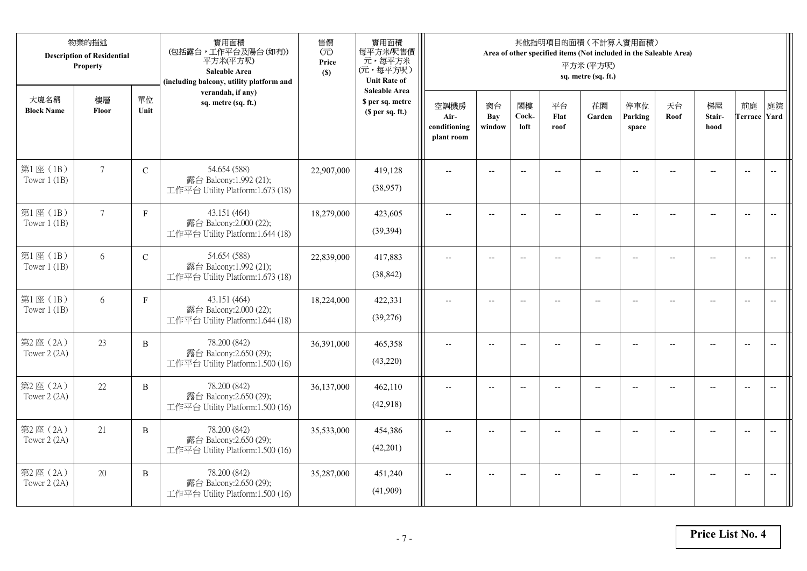|                           | 物業的描述<br><b>Description of Residential</b><br>Property |              | 實用面積<br>(包括露台,工作平台及陽台(如有))<br>平方米(平方呎)<br>Saleable Area<br>(including balcony, utility platform and | 售價<br>(元)<br>Price<br>(S) | 實用面積<br>每平方米/呎售價<br>元,每平方米<br>(元,每平方呎)<br><b>Unit Rate of</b>          |                                            |                            |                          |                          | 其他指明項目的面積 (不計算入實用面積)<br>Area of other specified items (Not included in the Saleable Area)<br>平方米(平方呎)<br>sq. metre (sq. ft.) |                          |                |                          |                           |                          |
|---------------------------|--------------------------------------------------------|--------------|-----------------------------------------------------------------------------------------------------|---------------------------|------------------------------------------------------------------------|--------------------------------------------|----------------------------|--------------------------|--------------------------|------------------------------------------------------------------------------------------------------------------------------|--------------------------|----------------|--------------------------|---------------------------|--------------------------|
| 大廈名稱<br><b>Block Name</b> | 樓層<br>Floor                                            | 單位<br>Unit   | verandah, if any)<br>sq. metre (sq. ft.)                                                            |                           | <b>Saleable Area</b><br>\$ per sq. metre<br>(S <sub>per</sub> sq. ft.) | 空調機房<br>Air-<br>conditioning<br>plant room | 窗台<br><b>Bay</b><br>window | 閣樓<br>Cock-<br>loft      | 平台<br>Flat<br>roof       | 花園<br>Garden                                                                                                                 | 停車位<br>Parking<br>space  | 天台<br>Roof     | 梯屋<br>Stair-<br>hood     | 前庭<br><b>Terrace Yard</b> | 庭院                       |
| 第1座(1B)<br>Tower $1$ (1B) | $7\phantom{.0}$                                        | ${\bf C}$    | 54.654 (588)<br>露台 Balcony:1.992 (21);<br>工作平台 Utility Platform:1.673 (18)                          | 22,907,000                | 419,128<br>(38,957)                                                    |                                            |                            | $\overline{\phantom{a}}$ |                          |                                                                                                                              |                          |                |                          | $\overline{a}$            | $\overline{\phantom{a}}$ |
| 第1座(1B)<br>Tower $1$ (1B) | $7\overline{ }$                                        | $\mathbf{F}$ | 43.151 (464)<br>露台 Balcony:2.000 (22);<br>工作平台 Utility Platform:1.644 (18)                          | 18,279,000                | 423,605<br>(39, 394)                                                   | $\overline{\phantom{a}}$                   | $\overline{\phantom{a}}$   | $\overline{\phantom{a}}$ |                          | $\overline{\phantom{a}}$                                                                                                     | $-$                      |                | $\overline{a}$           | $-$                       |                          |
| 第1座(1B)<br>Tower $1$ (1B) | 6                                                      | $\mathbf C$  | 54.654 (588)<br>露台 Balcony:1.992 (21);<br>工作平台 Utility Platform:1.673 (18)                          | 22,839,000                | 417,883<br>(38, 842)                                                   |                                            | $\overline{\phantom{a}}$   | $-$                      | $-$                      | $-$                                                                                                                          |                          |                | $\overline{\phantom{a}}$ | $\overline{\phantom{a}}$  |                          |
| 第1座(1B)<br>Tower $1$ (1B) | 6                                                      | $\mathbf F$  | 43.151 (464)<br>露台 Balcony:2.000 (22);<br>工作平台 Utility Platform:1.644 (18)                          | 18,224,000                | 422,331<br>(39,276)                                                    | $-$                                        | $-$                        | $\overline{\phantom{a}}$ | $\overline{\phantom{a}}$ | $-$                                                                                                                          | $\overline{\phantom{a}}$ | $\overline{a}$ | --                       | $-$                       | $\overline{\phantom{m}}$ |
| 第2座(2A)<br>Tower 2 (2A)   | 23                                                     | $\, {\bf B}$ | 78.200 (842)<br>露台 Balcony:2.650 (29);<br>工作平台 Utility Platform:1.500 (16)                          | 36,391,000                | 465,358<br>(43,220)                                                    | $\sim$                                     | $\overline{a}$             | $\overline{a}$           | $\overline{a}$           | $-$                                                                                                                          | $\overline{a}$           |                | $\overline{a}$           | $\overline{\phantom{a}}$  | $\overline{\phantom{a}}$ |
| 第2座(2A)<br>Tower 2 (2A)   | 22                                                     | $\, {\bf B}$ | 78.200 (842)<br>露台 Balcony:2.650 (29);<br>工作平台 Utility Platform:1.500 (16)                          | 36,137,000                | 462,110<br>(42,918)                                                    | $\overline{\phantom{a}}$                   | $\overline{a}$             | $-$                      |                          | $-$                                                                                                                          | $-$                      | $-$            | $\overline{a}$           | $\overline{\phantom{a}}$  | $\sim$                   |
| 第2座 (2A)<br>Tower 2 (2A)  | 21                                                     | B            | 78.200 (842)<br>露台 Balcony:2.650 (29);<br>工作平台 Utility Platform:1.500 (16)                          | 35,533,000                | 454,386<br>(42,201)                                                    |                                            |                            | $\overline{\phantom{a}}$ |                          |                                                                                                                              |                          |                |                          | $\overline{\phantom{a}}$  | $\overline{\phantom{a}}$ |
| 第2座(2A)<br>Tower 2 (2A)   | 20                                                     | B            | 78.200 (842)<br>露台 Balcony:2.650 (29);<br>工作平台 Utility Platform:1.500 (16)                          | 35,287,000                | 451,240<br>(41,909)                                                    | $\overline{\phantom{a}}$                   | $-$                        | $-$                      |                          | $\overline{a}$                                                                                                               | $-$                      |                | $-$                      | $-$                       | $\overline{\phantom{a}}$ |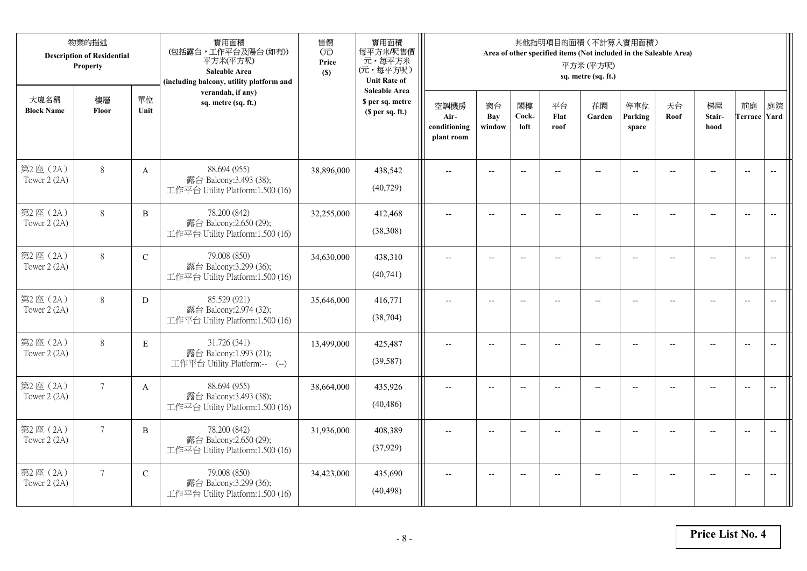|                           | 物業的描述<br><b>Description of Residential</b><br>Property |              | 實用面積<br>(包括露台,工作平台及陽台(如有))<br>平方米(平方呎)<br>Saleable Area<br>(including balcony, utility platform and | 售價<br>(元)<br>Price<br>(S) | 實用面積<br>每平方米/呎售價<br>元,每平方米<br>(元,每平方呎)<br><b>Unit Rate of</b>          |                                            |                          |                          |                          | 其他指明項目的面積 (不計算入實用面積)<br>Area of other specified items (Not included in the Saleable Area)<br>平方米(平方呎)<br>sq. metre (sq. ft.) |                          |                |                          |                           |                          |
|---------------------------|--------------------------------------------------------|--------------|-----------------------------------------------------------------------------------------------------|---------------------------|------------------------------------------------------------------------|--------------------------------------------|--------------------------|--------------------------|--------------------------|------------------------------------------------------------------------------------------------------------------------------|--------------------------|----------------|--------------------------|---------------------------|--------------------------|
| 大廈名稱<br><b>Block Name</b> | 樓層<br>Floor                                            | 單位<br>Unit   | verandah, if any)<br>sq. metre (sq. ft.)                                                            |                           | <b>Saleable Area</b><br>\$ per sq. metre<br>(S <sub>per</sub> sq. ft.) | 空調機房<br>Air-<br>conditioning<br>plant room | 窗台<br>Bay<br>window      | 閣樓<br>Cock-<br>loft      | 平台<br>Flat<br>roof       | 花園<br>Garden                                                                                                                 | 停車位<br>Parking<br>space  | 天台<br>Roof     | 梯屋<br>Stair-<br>hood     | 前庭<br><b>Terrace Yard</b> | 庭院                       |
| 第2座(2A)<br>Tower 2 (2A)   | $8\,$                                                  | $\mathbf{A}$ | 88.694 (955)<br>露台 Balcony:3.493 (38);<br>工作平台 Utility Platform:1.500 (16)                          | 38,896,000                | 438,542<br>(40, 729)                                                   |                                            |                          | $\overline{\phantom{a}}$ |                          |                                                                                                                              |                          |                |                          | $\overline{a}$            | $\overline{\phantom{a}}$ |
| 第2座(2A)<br>Tower 2 (2A)   | $8\,$                                                  | B            | 78.200 (842)<br>露台 Balcony:2.650 (29);<br>工作平台 Utility Platform:1.500 (16)                          | 32,255,000                | 412,468<br>(38,308)                                                    | $\overline{\phantom{a}}$                   | $\overline{\phantom{a}}$ | $\overline{\phantom{a}}$ |                          | $\overline{\phantom{a}}$                                                                                                     | $-$                      |                | $\overline{a}$           | $-$                       |                          |
| 第2座(2A)<br>Tower 2 (2A)   | $8\,$                                                  | $\mathbf C$  | 79.008 (850)<br>露台 Balcony:3.299 (36);<br>工作平台 Utility Platform:1.500 (16)                          | 34,630,000                | 438,310<br>(40,741)                                                    |                                            | $\overline{\phantom{a}}$ | $-$                      | $-$                      | $-$                                                                                                                          |                          |                | $\overline{\phantom{a}}$ | $\overline{\phantom{a}}$  |                          |
| 第2座(2A)<br>Tower 2 (2A)   | $8\,$                                                  | D            | 85.529 (921)<br>露台 Balcony:2.974 (32);<br>工作平台 Utility Platform:1.500 (16)                          | 35,646,000                | 416,771<br>(38, 704)                                                   | $-$                                        | $-$                      | $\overline{\phantom{a}}$ | $\overline{\phantom{a}}$ | $-$                                                                                                                          | $\overline{\phantom{a}}$ | $\overline{a}$ | --                       | $-$                       | $\overline{\phantom{m}}$ |
| 第2座(2A)<br>Tower 2 (2A)   | 8                                                      | $\mathbf E$  | 31.726 (341)<br>露台 Balcony:1.993 (21);<br>工作平台 Utility Platform:-- (--)                             | 13,499,000                | 425,487<br>(39, 587)                                                   | $\sim$                                     | $\overline{a}$           | $\overline{a}$           | $\overline{a}$           | $\overline{\phantom{a}}$                                                                                                     | $\overline{a}$           |                | $\overline{a}$           | $\overline{\phantom{a}}$  | $\overline{\phantom{a}}$ |
| 第2座(2A)<br>Tower 2 (2A)   | $7\overline{ }$                                        | A            | 88.694 (955)<br>露台 Balcony:3.493 (38);<br>工作平台 Utility Platform:1.500 (16)                          | 38,664,000                | 435,926<br>(40, 486)                                                   | $\overline{\phantom{a}}$                   | $\overline{a}$           | $\overline{\phantom{a}}$ |                          | $-$                                                                                                                          | $-$                      | $-$            | $-$                      | $\overline{\phantom{a}}$  | $\overline{a}$           |
| 第2座(2A)<br>Tower 2 (2A)   | $\overline{7}$                                         | B            | 78.200 (842)<br>露台 Balcony:2.650 (29);<br>工作平台 Utility Platform:1.500 (16)                          | 31,936,000                | 408,389<br>(37, 929)                                                   |                                            |                          | $\overline{\phantom{a}}$ |                          |                                                                                                                              |                          |                |                          | $\overline{\phantom{a}}$  | $\overline{\phantom{a}}$ |
| 第2座(2A)<br>Tower 2 (2A)   | $7\overline{ }$                                        | $\mathbf C$  | 79.008 (850)<br>露台 Balcony:3.299 (36);<br>工作平台 Utility Platform:1.500 (16)                          | 34,423,000                | 435,690<br>(40, 498)                                                   | $\overline{\phantom{a}}$                   | $-$                      | $\overline{\phantom{a}}$ |                          | $\overline{a}$                                                                                                               | $-$                      |                | $-$                      | $-$                       | $\overline{\phantom{a}}$ |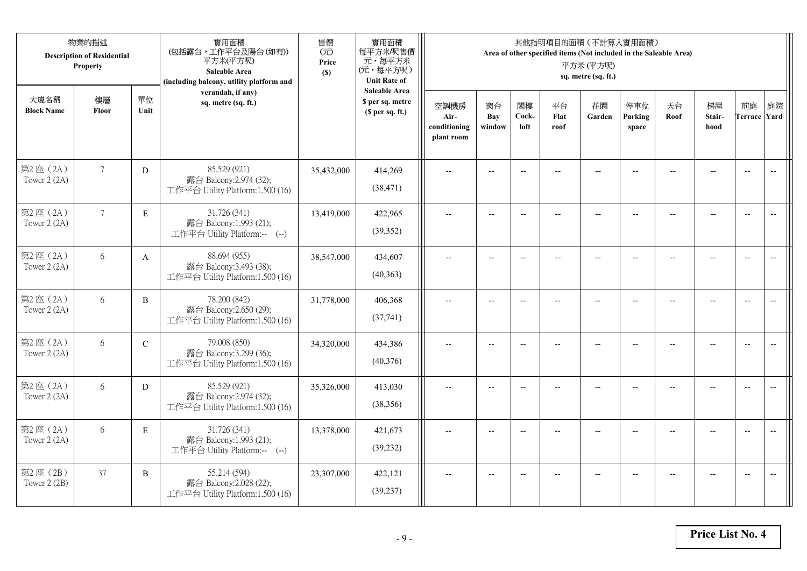|                           | 物業的描述<br><b>Description of Residential</b><br>Property |             | 實用面積<br>(包括露台,工作平台及陽台(如有))<br>平方米(平方呎)<br>Saleable Area<br>(including balcony, utility platform and | 售價<br>(元)<br>Price<br>(S) | 實用面積<br>每平方米/呎售價<br>元,每平方米<br>(元,每平方呎)<br><b>Unit Rate of</b>          |                                            |                          |                          |                          | 其他指明項目的面積 (不計算入實用面積)<br>Area of other specified items (Not included in the Saleable Area)<br>平方米(平方呎)<br>sq. metre (sq. ft.) |                          |                |                          |                           |                          |
|---------------------------|--------------------------------------------------------|-------------|-----------------------------------------------------------------------------------------------------|---------------------------|------------------------------------------------------------------------|--------------------------------------------|--------------------------|--------------------------|--------------------------|------------------------------------------------------------------------------------------------------------------------------|--------------------------|----------------|--------------------------|---------------------------|--------------------------|
| 大廈名稱<br><b>Block Name</b> | 樓層<br>Floor                                            | 單位<br>Unit  | verandah, if any)<br>sq. metre (sq. ft.)                                                            |                           | <b>Saleable Area</b><br>\$ per sq. metre<br>(S <sub>per</sub> sq. ft.) | 空調機房<br>Air-<br>conditioning<br>plant room | 窗台<br>Bay<br>window      | 閣樓<br>Cock-<br>loft      | 平台<br>Flat<br>roof       | 花園<br>Garden                                                                                                                 | 停車位<br>Parking<br>space  | 天台<br>Roof     | 梯屋<br>Stair-<br>hood     | 前庭<br><b>Terrace Yard</b> | 庭院                       |
| 第2座(2A)<br>Tower 2 (2A)   | $7\phantom{.0}$                                        | ${\rm D}$   | 85.529 (921)<br>露台 Balcony:2.974 (32);<br>工作平台 Utility Platform:1.500 (16)                          | 35,432,000                | 414,269<br>(38, 471)                                                   |                                            |                          | $\overline{\phantom{a}}$ |                          |                                                                                                                              |                          |                |                          | $\overline{a}$            | $\overline{\phantom{a}}$ |
| 第2座(2A)<br>Tower 2 (2A)   | $7\overline{ }$                                        | E           | 31.726 (341)<br>露台 Balcony:1.993 (21);<br>工作平台 Utility Platform:-- (--)                             | 13,419,000                | 422,965<br>(39, 352)                                                   | $\overline{\phantom{a}}$                   | $\overline{\phantom{a}}$ | $\overline{\phantom{a}}$ |                          | $\overline{\phantom{a}}$                                                                                                     | $-$                      |                | $\overline{a}$           | $-$                       |                          |
| 第2座(2A)<br>Tower 2 (2A)   | 6                                                      | A           | 88.694 (955)<br>露台 Balcony:3.493 (38);<br>工作平台 Utility Platform:1.500 (16)                          | 38,547,000                | 434,607<br>(40,363)                                                    |                                            | $\overline{\phantom{a}}$ | $-$                      | $-$                      | $-$                                                                                                                          |                          |                | $\overline{\phantom{a}}$ | $\overline{\phantom{a}}$  |                          |
| 第2座(2A)<br>Tower 2 (2A)   | 6                                                      | B           | 78.200 (842)<br>露台 Balcony:2.650 (29);<br>工作平台 Utility Platform:1.500 (16)                          | 31,778,000                | 406,368<br>(37,741)                                                    | $-$                                        | $\overline{\phantom{m}}$ | $\overline{\phantom{a}}$ | $\overline{\phantom{a}}$ | $-$                                                                                                                          | $\overline{\phantom{a}}$ | $\overline{a}$ | --                       | $-$                       | $\overline{\phantom{m}}$ |
| 第2座(2A)<br>Tower 2 (2A)   | 6                                                      | $\mathbf C$ | 79.008 (850)<br>露台 Balcony:3.299 (36);<br>工作平台 Utility Platform:1.500 (16)                          | 34,320,000                | 434,386<br>(40,376)                                                    | $\sim$                                     | $\overline{a}$           | $\overline{a}$           | $\overline{a}$           | $\overline{\phantom{a}}$                                                                                                     | $\overline{a}$           |                | $\overline{a}$           | $\overline{\phantom{a}}$  | $\overline{\phantom{a}}$ |
| 第2座(2A)<br>Tower 2 (2A)   | 6                                                      | D           | 85.529 (921)<br>露台 Balcony:2.974 (32);<br>工作平台 Utility Platform:1.500 (16)                          | 35,326,000                | 413,030<br>(38, 356)                                                   | $\overline{\phantom{a}}$                   | $\overline{a}$           | $\overline{\phantom{a}}$ |                          | $\overline{a}$                                                                                                               | $-$                      | $-$            | $\overline{a}$           | $\overline{\phantom{a}}$  | $\sim$                   |
| 第2座(2A)<br>Tower 2 (2A)   | 6                                                      | E           | 31.726 (341)<br>露台 Balcony:1.993 (21);<br>工作平台 Utility Platform:-- (--)                             | 13,378,000                | 421,673<br>(39, 232)                                                   |                                            |                          | $\overline{\phantom{a}}$ |                          |                                                                                                                              |                          |                |                          | $\overline{\phantom{a}}$  | $\overline{a}$           |
| 第2座 (2B)<br>Tower $2(2B)$ | 37                                                     | B           | 55.214 (594)<br>露台 Balcony:2.028 (22);<br>工作平台 Utility Platform:1.500 (16)                          | 23,307,000                | 422,121<br>(39, 237)                                                   | $\overline{\phantom{a}}$                   | $-$                      | $\overline{\phantom{a}}$ |                          | $\overline{a}$                                                                                                               | $-$                      |                | $-$                      | $-$                       | $\overline{\phantom{a}}$ |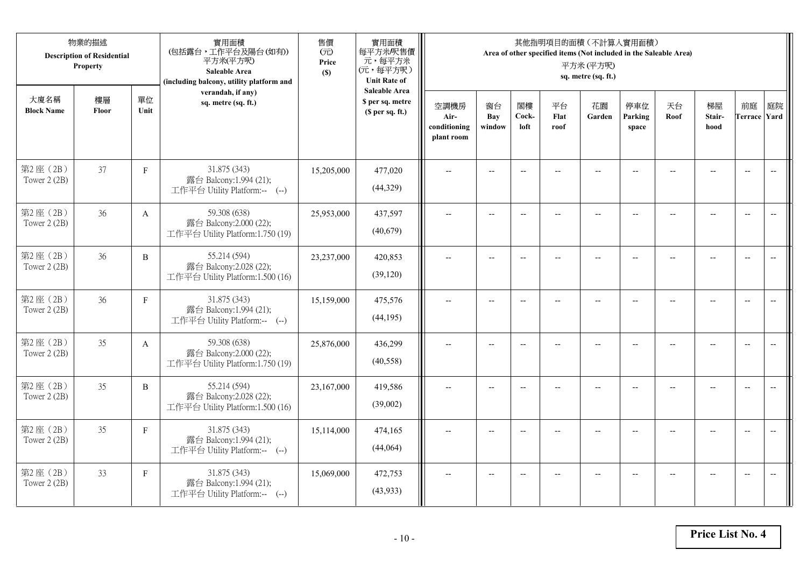|                           | 物業的描述<br><b>Description of Residential</b><br>Property |              | 實用面積<br>(包括露台,工作平台及陽台(如有))<br>平方米(平方呎)<br>Saleable Area<br>(including balcony, utility platform and | 售價<br>(元)<br>Price<br>(S) | 實用面積<br>每平方米/呎售價<br>元,每平方米<br>(元,每平方呎)<br><b>Unit Rate of</b>          |                                            |                          |                          |                          | 其他指明項目的面積 (不計算入實用面積)<br>Area of other specified items (Not included in the Saleable Area)<br>平方米(平方呎)<br>sq. metre (sq. ft.) |                          |                |                                                     |                           |                          |
|---------------------------|--------------------------------------------------------|--------------|-----------------------------------------------------------------------------------------------------|---------------------------|------------------------------------------------------------------------|--------------------------------------------|--------------------------|--------------------------|--------------------------|------------------------------------------------------------------------------------------------------------------------------|--------------------------|----------------|-----------------------------------------------------|---------------------------|--------------------------|
| 大廈名稱<br><b>Block Name</b> | 樓層<br>Floor                                            | 單位<br>Unit   | verandah, if any)<br>sq. metre (sq. ft.)                                                            |                           | <b>Saleable Area</b><br>\$ per sq. metre<br>(S <sub>per</sub> sq. ft.) | 空調機房<br>Air-<br>conditioning<br>plant room | 窗台<br>Bay<br>window      | 閣樓<br>Cock-<br>loft      | 平台<br>Flat<br>roof       | 花園<br>Garden                                                                                                                 | 停車位<br>Parking<br>space  | 天台<br>Roof     | 梯屋<br>Stair-<br>hood                                | 前庭<br><b>Terrace Yard</b> | 庭院                       |
| 第2座(2B)<br>Tower 2 (2B)   | 37                                                     | $\mathbf F$  | 31.875 (343)<br>露台 Balcony:1.994 (21);<br>工作平台 Utility Platform:-- (--)                             | 15,205,000                | 477,020<br>(44,329)                                                    |                                            | $-$                      | $\overline{\phantom{a}}$ |                          | $\sim$                                                                                                                       |                          |                |                                                     | $\overline{a}$            | $\overline{\phantom{a}}$ |
| 第2座(2B)<br>Tower 2 (2B)   | 36                                                     | $\mathbf{A}$ | 59.308 (638)<br>露台 Balcony:2.000 (22);<br>工作平台 Utility Platform:1.750 (19)                          | 25,953,000                | 437,597<br>(40,679)                                                    | $\overline{\phantom{a}}$                   | $\overline{\phantom{a}}$ | $\overline{\phantom{a}}$ | $\overline{a}$           | $\overline{\phantom{a}}$                                                                                                     | $-$                      |                | $\overline{a}$                                      | $-$                       |                          |
| 第2座(2B)<br>Tower 2 (2B)   | 36                                                     | $\, {\bf B}$ | 55.214 (594)<br>露台 Balcony:2.028 (22);<br>工作平台 Utility Platform:1.500 (16)                          | 23,237,000                | 420,853<br>(39, 120)                                                   |                                            | $\overline{\phantom{a}}$ | $\overline{\phantom{a}}$ | $-$                      | $-$                                                                                                                          |                          |                | $\overline{\phantom{a}}$                            | $\overline{\phantom{a}}$  |                          |
| 第2座(2B)<br>Tower 2 (2B)   | 36                                                     | $\mathbf F$  | 31.875 (343)<br>露台 Balcony:1.994 (21);<br>工作平台 Utility Platform:-- (--)                             | 15,159,000                | 475,576<br>(44, 195)                                                   | $-$                                        | $\overline{\phantom{m}}$ | $\overline{\phantom{a}}$ | $\overline{\phantom{a}}$ | $-$                                                                                                                          | $\overline{\phantom{a}}$ | $\overline{a}$ | $\hspace{0.05cm} -\hspace{0.05cm} -\hspace{0.05cm}$ | $\overline{\phantom{a}}$  | $\overline{\phantom{m}}$ |
| 第2座(2B)<br>Tower 2 (2B)   | 35                                                     | $\mathbf{A}$ | 59.308 (638)<br>露台 Balcony:2.000 (22);<br>工作平台 Utility Platform:1.750 (19)                          | 25,876,000                | 436,299<br>(40,558)                                                    | $\sim$                                     | $\overline{a}$           | $\overline{a}$           | $\overline{a}$           | $\overline{\phantom{a}}$                                                                                                     | $\overline{a}$           |                | $\overline{a}$                                      | $\overline{\phantom{a}}$  | $\overline{\phantom{a}}$ |
| 第2座(2B)<br>Tower 2 (2B)   | 35                                                     | $\, {\bf B}$ | 55.214 (594)<br>露台 Balcony:2.028 (22);<br>工作平台 Utility Platform:1.500 (16)                          | 23,167,000                | 419,586<br>(39,002)                                                    | $\overline{\phantom{a}}$                   | $\overline{a}$           | $\overline{\phantom{a}}$ |                          | $\overline{a}$                                                                                                               | $\sim$                   | $-$            | $\overline{a}$                                      | $\overline{\phantom{a}}$  | $\sim$                   |
| 第2座(2B)<br>Tower 2 (2B)   | 35                                                     | $\mathbf F$  | 31.875 (343)<br>露台 Balcony:1.994 (21);<br>工作平台 Utility Platform:-- (--)                             | 15,114,000                | 474,165<br>(44,064)                                                    |                                            |                          | $\overline{\phantom{a}}$ |                          |                                                                                                                              |                          |                |                                                     | $\overline{\phantom{a}}$  | $\overline{\phantom{a}}$ |
| 第2座 (2B)<br>Tower $2(2B)$ | 33                                                     | $\mathbf{F}$ | 31.875 (343)<br>露台 Balcony:1.994 (21);<br>工作平台 Utility Platform:-- (--)                             | 15,069,000                | 472,753<br>(43,933)                                                    | $\overline{\phantom{a}}$                   | $-$                      | $\overline{\phantom{a}}$ | $\overline{a}$           | $\overline{\phantom{a}}$                                                                                                     | $-$                      |                | $-$                                                 | $-$                       | $\overline{\phantom{a}}$ |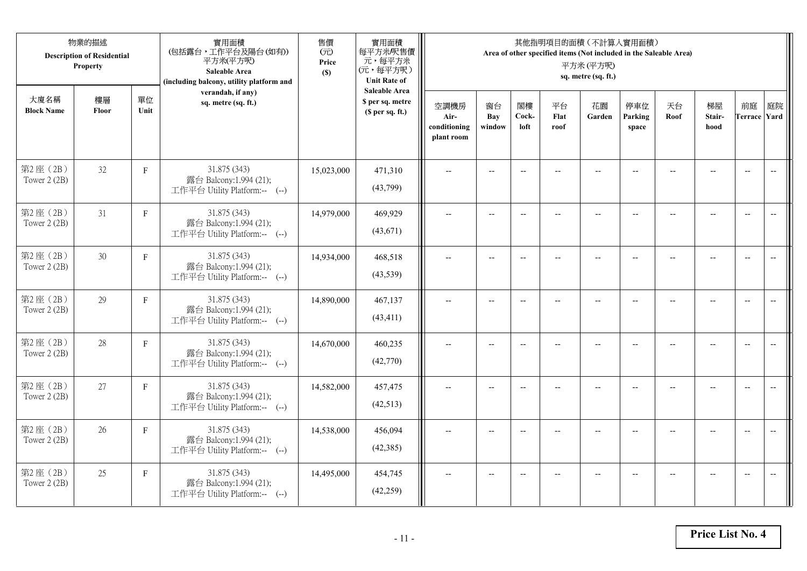| 物業的描述<br><b>Description of Residential</b><br>Property |             |              | 實用面積<br>(包括露台,工作平台及陽台(如有))<br>平方米(平方呎)<br>Saleable Area<br>(including balcony, utility platform and | 售價<br>(元)<br>Price<br>(S) | 實用面積<br>每平方米/呎售價<br>元,每平方米<br>(元,每平方呎)<br><b>Unit Rate of</b> | 其他指明項目的面積 (不計算入實用面積)<br>Area of other specified items (Not included in the Saleable Area)<br>平方米(平方呎)<br>sq. metre (sq. ft.) |                     |                          |                    |                          |                         |                          |                      |                           |                          |  |
|--------------------------------------------------------|-------------|--------------|-----------------------------------------------------------------------------------------------------|---------------------------|---------------------------------------------------------------|------------------------------------------------------------------------------------------------------------------------------|---------------------|--------------------------|--------------------|--------------------------|-------------------------|--------------------------|----------------------|---------------------------|--------------------------|--|
| 大廈名稱<br><b>Block Name</b>                              | 樓層<br>Floor | 單位<br>Unit   | verandah, if any)<br>sq. metre (sq. ft.)                                                            |                           | <b>Saleable Area</b><br>\$ per sq. metre<br>(\$ per sq. ft.)  | 空調機房<br>Air-<br>conditioning<br>plant room                                                                                   | 窗台<br>Bay<br>window | 閣樓<br>Cock-<br>loft      | 平台<br>Flat<br>roof | 花園<br>Garden             | 停車位<br>Parking<br>space | 天台<br>Roof               | 梯屋<br>Stair-<br>hood | 前庭<br><b>Terrace Yard</b> | 庭院                       |  |
| 第2座(2B)<br>Tower 2 (2B)                                | 32          | $\mathbf F$  | 31.875 (343)<br>露台 Balcony:1.994 (21);<br>工作平台 Utility Platform:-- (--)                             | 15,023,000                | 471,310<br>(43,799)                                           |                                                                                                                              |                     | $-$                      |                    |                          |                         |                          |                      | $\overline{\phantom{a}}$  | $\overline{\phantom{a}}$ |  |
| 第2座(2B)<br>Tower 2 (2B)                                | 31          | $\mathbf{F}$ | 31.875 (343)<br>露台 Balcony:1.994 (21);<br>工作平台 Utility Platform:-- (--)                             | 14,979,000                | 469,929<br>(43,671)                                           | $\overline{a}$                                                                                                               | $--$                | $\overline{\phantom{a}}$ | $-$                | $\overline{\phantom{a}}$ | $-$                     | $\overline{\phantom{a}}$ | $-$                  | $\overline{a}$            | $\overline{\phantom{a}}$ |  |
| 第2座(2B)<br>Tower 2 (2B)                                | 30          | $\mathbf{F}$ | 31.875 (343)<br>露台 Balcony:1.994 (21);<br>工作平台 Utility Platform:-- (--)                             | 14,934,000                | 468,518<br>(43,539)                                           |                                                                                                                              | $\overline{a}$      | $\overline{\phantom{a}}$ | $\overline{a}$     | $\overline{a}$           |                         |                          | $\overline{a}$       | $\overline{a}$            |                          |  |
| 第2座(2B)<br>Tower 2 (2B)                                | 29          | $\mathbf F$  | 31.875 (343)<br>露台 Balcony:1.994 (21);<br>工作平台 Utility Platform:-- (--)                             | 14,890,000                | 467,137<br>(43, 411)                                          | $\overline{\phantom{a}}$                                                                                                     | $-$                 | $-$                      | $\overline{a}$     | $\overline{\phantom{a}}$ | $\overline{a}$          |                          | $\overline{a}$       | $\overline{\phantom{a}}$  | $\overline{\phantom{m}}$ |  |
| 第2座(2B)<br>Tower 2 (2B)                                | 28          | $\mathbf F$  | 31.875 (343)<br>露台 Balcony:1.994 (21);<br>工作平台 Utility Platform:-- (--)                             | 14,670,000                | 460,235<br>(42,770)                                           | $\overline{a}$                                                                                                               | $- -$               | $\overline{\phantom{a}}$ | $\qquad \qquad -$  | $\overline{\phantom{m}}$ | $-$                     | --                       | $-$                  | $\overline{\phantom{m}}$  | $\overline{\phantom{m}}$ |  |
| 第2座(2B)<br>Tower 2 (2B)                                | 27          | $\mathbf F$  | 31.875 (343)<br>露台 Balcony:1.994 (21);<br>工作平台 Utility Platform:-- (--)                             | 14,582,000                | 457,475<br>(42,513)                                           |                                                                                                                              | $-$                 | $\overline{\phantom{a}}$ |                    | $\overline{a}$           |                         |                          | $-$                  | $\overline{a}$            | $-$                      |  |
| 第2座(2B)<br>Tower 2 (2B)                                | 26          | $\mathbf F$  | 31.875 (343)<br>露台 Balcony:1.994 (21);<br>工作平台 Utility Platform:-- (--)                             | 14,538,000                | 456,094<br>(42, 385)                                          | $\sim$                                                                                                                       | $-$                 | $\overline{\phantom{a}}$ | $\sim$             | $\sim$                   | $-$                     |                          | $\sim$               | $-$                       | $\overline{a}$           |  |
| 第2座(2B)<br>Tower 2 (2B)                                | 25          | $\mathbf{F}$ | 31.875 (343)<br>露台 Balcony:1.994 (21);<br>工作平台 Utility Platform:-- (--)                             | 14,495,000                | 454,745<br>(42, 259)                                          |                                                                                                                              | $-$                 |                          |                    | --                       |                         |                          |                      | $\overline{a}$            | $-$                      |  |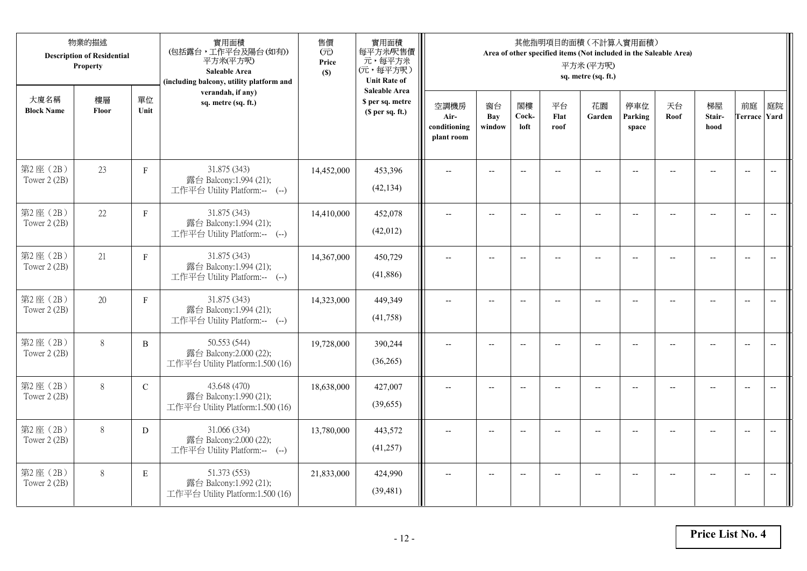| 物業的描述<br><b>Description of Residential</b><br>Property |             |               | 實用面積<br>(包括露台,工作平台及陽台(如有))<br>平方米(平方呎)<br>Saleable Area<br>(including balcony, utility platform and | 售價<br>(元)<br>Price<br>(S) | 實用面積<br>每平方米/呎售價<br>元,每平方米<br>(元,每平方呎)<br><b>Unit Rate of</b>          | 其他指明項目的面積 (不計算入實用面積)<br>Area of other specified items (Not included in the Saleable Area)<br>平方米(平方呎)<br>sq. metre (sq. ft.) |                          |                          |                          |                          |                          |                          |                                                     |                           |                          |  |
|--------------------------------------------------------|-------------|---------------|-----------------------------------------------------------------------------------------------------|---------------------------|------------------------------------------------------------------------|------------------------------------------------------------------------------------------------------------------------------|--------------------------|--------------------------|--------------------------|--------------------------|--------------------------|--------------------------|-----------------------------------------------------|---------------------------|--------------------------|--|
| 大廈名稱<br><b>Block Name</b>                              | 樓層<br>Floor | 單位<br>Unit    | verandah, if any)<br>sq. metre (sq. ft.)                                                            |                           | <b>Saleable Area</b><br>\$ per sq. metre<br>(S <sub>per</sub> sq. ft.) | 空調機房<br>Air-<br>conditioning<br>plant room                                                                                   | 窗台<br>Bay<br>window      | 閣樓<br>Cock-<br>loft      | 平台<br>Flat<br>roof       | 花園<br>Garden             | 停車位<br>Parking<br>space  | 天台<br>Roof               | 梯屋<br>Stair-<br>hood                                | 前庭<br><b>Terrace Yard</b> | 庭院                       |  |
| 第2座(2B)<br>Tower 2 (2B)                                | 23          | $\mathbf F$   | 31.875 (343)<br>露台 Balcony:1.994 (21);<br>工作平台 Utility Platform:-- (--)                             | 14,452,000                | 453,396<br>(42, 134)                                                   |                                                                                                                              | $-$                      | $\overline{\phantom{a}}$ |                          | $\sim$                   |                          |                          |                                                     | $\overline{a}$            | $\overline{\phantom{a}}$ |  |
| 第2座(2B)<br>Tower 2 (2B)                                | 22          | $\mathbf{F}$  | 31.875 (343)<br>露台 Balcony:1.994 (21);<br>工作平台 Utility Platform:-- (--)                             | 14,410,000                | 452,078<br>(42,012)                                                    | $\overline{\phantom{a}}$                                                                                                     | $\overline{\phantom{a}}$ | $\overline{\phantom{a}}$ | $-$                      | $\overline{\phantom{a}}$ | $-$                      | $\overline{\phantom{a}}$ | $\overline{a}$                                      | $-$                       |                          |  |
| 第2座(2B)<br>Tower 2 (2B)                                | 21          | $\mathbf F$   | 31.875 (343)<br>露台 Balcony:1.994 (21);<br>工作平台 Utility Platform:-- (--)                             | 14,367,000                | 450,729<br>(41,886)                                                    |                                                                                                                              | $\overline{\phantom{a}}$ | $\overline{\phantom{a}}$ | $-$                      | $-$                      | --                       |                          | $\overline{\phantom{a}}$                            | $\overline{\phantom{a}}$  |                          |  |
| 第2座(2B)<br>Tower 2 (2B)                                | 20          | $\mathbf F$   | 31.875 (343)<br>露台 Balcony:1.994 (21);<br>工作平台 Utility Platform:-- (--)                             | 14,323,000                | 449,349<br>(41,758)                                                    | $-$                                                                                                                          | $\overline{\phantom{m}}$ | $\overline{\phantom{a}}$ | $\overline{\phantom{a}}$ | $-$                      | $\overline{\phantom{a}}$ | $\overline{a}$           | $\hspace{0.05cm} -\hspace{0.05cm} -\hspace{0.05cm}$ | $-$                       | $\overline{\phantom{m}}$ |  |
| 第2座(2B)<br>Tower 2 (2B)                                | 8           | $\, {\bf B}$  | 50.553 (544)<br>露台 Balcony:2.000 (22);<br>工作平台 Utility Platform:1.500 (16)                          | 19,728,000                | 390,244<br>(36,265)                                                    | $\sim$                                                                                                                       | $\overline{a}$           | $\overline{a}$           | $\overline{a}$           | $\overline{\phantom{a}}$ | $\overline{a}$           |                          | $\overline{a}$                                      | $\overline{\phantom{a}}$  | $\overline{\phantom{a}}$ |  |
| 第2座(2B)<br>Tower 2 (2B)                                | 8           | $\mathcal{C}$ | 43.648 (470)<br>露台 Balcony:1.990 (21);<br>工作平台 Utility Platform:1.500 (16)                          | 18,638,000                | 427,007<br>(39,655)                                                    | $\overline{\phantom{a}}$                                                                                                     | $\overline{a}$           | $-$                      |                          | $\overline{a}$           | $\sim$                   | $-$                      | $\overline{a}$                                      | $\overline{\phantom{a}}$  | $\sim$                   |  |
| 第2座(2B)<br>Tower 2 (2B)                                | $8\,$       | D             | 31.066 (334)<br>露台 Balcony:2.000 (22);<br>工作平台 Utility Platform:-- (--)                             | 13,780,000                | 443,572<br>(41,257)                                                    |                                                                                                                              |                          | $\overline{\phantom{a}}$ |                          |                          |                          |                          |                                                     | $\overline{\phantom{a}}$  | $\overline{\phantom{a}}$ |  |
| 第2座(2B)<br>Tower $2(2B)$                               | 8           | $\mathbf E$   | 51.373 (553)<br>露台 Balcony:1.992 (21);<br>工作平台 Utility Platform:1.500 (16)                          | 21,833,000                | 424,990<br>(39, 481)                                                   | $\overline{\phantom{a}}$                                                                                                     | $-$                      | $-$                      | $\overline{a}$           | $-$                      | $-$                      |                          | $\overline{a}$                                      | $-$                       | $\overline{\phantom{a}}$ |  |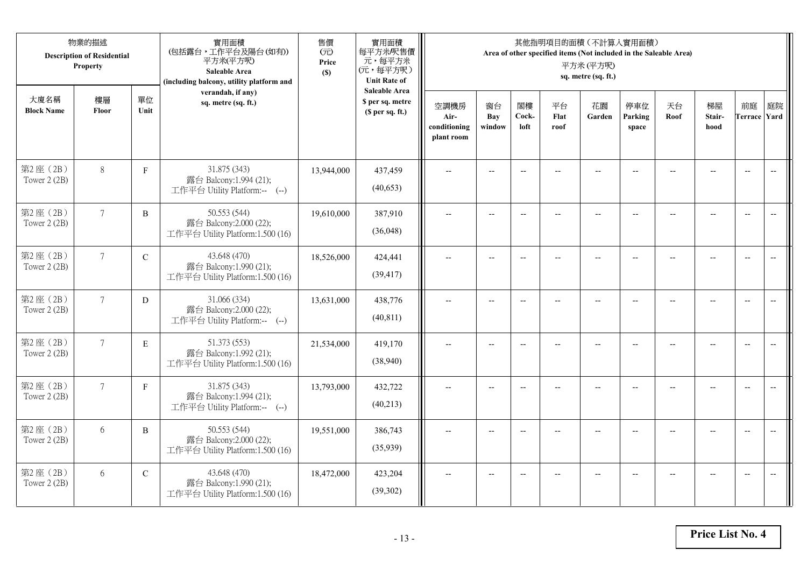| 物業的描述<br><b>Description of Residential</b><br>Property |                 |              | 實用面積<br>(包括露台,工作平台及陽台(如有))<br>平方米(平方呎)<br>Saleable Area<br>(including balcony, utility platform and | 售價<br>(元)<br>Price<br>(S) | 實用面積<br>每平方米/呎售價<br>元,每平方米<br>(元,每平方呎)<br><b>Unit Rate of</b>          | 其他指明項目的面積 (不計算入實用面積)<br>Area of other specified items (Not included in the Saleable Area)<br>平方米(平方呎)<br>sq. metre (sq. ft.) |                          |                          |                          |                          |                          |                |                                                     |                           |                          |  |
|--------------------------------------------------------|-----------------|--------------|-----------------------------------------------------------------------------------------------------|---------------------------|------------------------------------------------------------------------|------------------------------------------------------------------------------------------------------------------------------|--------------------------|--------------------------|--------------------------|--------------------------|--------------------------|----------------|-----------------------------------------------------|---------------------------|--------------------------|--|
| 大廈名稱<br><b>Block Name</b>                              | 樓層<br>Floor     | 單位<br>Unit   | verandah, if any)<br>sq. metre (sq. ft.)                                                            |                           | <b>Saleable Area</b><br>\$ per sq. metre<br>(S <sub>per</sub> sq. ft.) | 空調機房<br>Air-<br>conditioning<br>plant room                                                                                   | 窗台<br>Bay<br>window      | 閣樓<br>Cock-<br>loft      | 平台<br>Flat<br>roof       | 花園<br>Garden             | 停車位<br>Parking<br>space  | 天台<br>Roof     | 梯屋<br>Stair-<br>hood                                | 前庭<br><b>Terrace Yard</b> | 庭院                       |  |
| 第2座(2B)<br>Tower 2 (2B)                                | $8\,$           | $\mathbf F$  | 31.875 (343)<br>露台 Balcony:1.994 (21);<br>工作平台 Utility Platform:-- (--)                             | 13,944,000                | 437,459<br>(40,653)                                                    |                                                                                                                              | $-$                      | $\overline{\phantom{a}}$ |                          |                          |                          |                |                                                     | $\overline{a}$            | $\overline{\phantom{a}}$ |  |
| 第2座(2B)<br>Tower 2 (2B)                                | $7\overline{ }$ | B            | 50.553 (544)<br>露台 Balcony:2.000 (22);<br>工作平台 Utility Platform:1.500 (16)                          | 19,610,000                | 387,910<br>(36,048)                                                    | $\overline{\phantom{a}}$                                                                                                     | $\overline{\phantom{a}}$ | $\overline{\phantom{a}}$ | $-$                      | $\overline{\phantom{a}}$ | $-$                      |                | $\overline{a}$                                      | $-$                       | $\overline{\phantom{m}}$ |  |
| 第2座(2B)<br>Tower 2 (2B)                                | $7\overline{ }$ | $\mathbf C$  | 43.648 (470)<br>露台 Balcony:1.990 (21);<br>工作平台 Utility Platform:1.500 (16)                          | 18,526,000                | 424,441<br>(39, 417)                                                   |                                                                                                                              | $\overline{\phantom{a}}$ | $\overline{\phantom{a}}$ | $-$                      | $-$                      |                          |                | $\overline{\phantom{a}}$                            | $\overline{\phantom{a}}$  |                          |  |
| 第2座(2B)<br>Tower 2 (2B)                                | $7\overline{ }$ | D            | 31.066 (334)<br>露台 Balcony:2.000 (22);<br>工作平台 Utility Platform:-- (--)                             | 13,631,000                | 438,776<br>(40, 811)                                                   | $-$                                                                                                                          | $\overline{\phantom{m}}$ | $\overline{\phantom{a}}$ | $\overline{\phantom{a}}$ | $-$                      | $\overline{\phantom{a}}$ | $\overline{a}$ | $\hspace{0.05cm} -\hspace{0.05cm} -\hspace{0.05cm}$ | $-$                       | $\overline{\phantom{m}}$ |  |
| 第2座(2B)<br>Tower 2 (2B)                                | $\tau$          | $\mathbf E$  | 51.373 (553)<br>露台 Balcony:1.992 (21);<br>工作平台 Utility Platform:1.500 (16)                          | 21,534,000                | 419,170<br>(38,940)                                                    | $\sim$                                                                                                                       | $\overline{a}$           | $\overline{a}$           | $\overline{a}$           | $\overline{\phantom{a}}$ | $\overline{a}$           |                | $\overline{a}$                                      | $\overline{\phantom{a}}$  | $\overline{\phantom{a}}$ |  |
| 第2座(2B)<br>Tower 2 (2B)                                | $7\overline{ }$ | $\mathbf{F}$ | 31.875 (343)<br>露台 Balcony:1.994 (21);<br>工作平台 Utility Platform:-- (--)                             | 13,793,000                | 432,722<br>(40,213)                                                    | $\overline{\phantom{a}}$                                                                                                     | $\overline{a}$           | $-$                      |                          | $\overline{a}$           | $\sim$                   | $-$            | $\overline{a}$                                      | $\overline{\phantom{a}}$  | $\sim$                   |  |
| 第2座(2B)<br>Tower 2 (2B)                                | 6               | B            | 50.553 (544)<br>露台 Balcony:2.000 (22);<br>工作平台 Utility Platform:1.500 (16)                          | 19,551,000                | 386,743<br>(35,939)                                                    |                                                                                                                              |                          | $\overline{\phantom{a}}$ |                          |                          |                          |                |                                                     | $\overline{\phantom{a}}$  | $\overline{\phantom{a}}$ |  |
| 第2座(2B)<br>Tower $2(2B)$                               | 6               | $\mathbf C$  | 43.648 (470)<br>露台 Balcony:1.990 (21);<br>工作平台 Utility Platform:1.500 (16)                          | 18,472,000                | 423,204<br>(39, 302)                                                   | $\overline{\phantom{a}}$                                                                                                     | $-$                      | $-$                      |                          | $\overline{a}$           | $-$                      |                | $-$                                                 | $-$                       | $\overline{\phantom{a}}$ |  |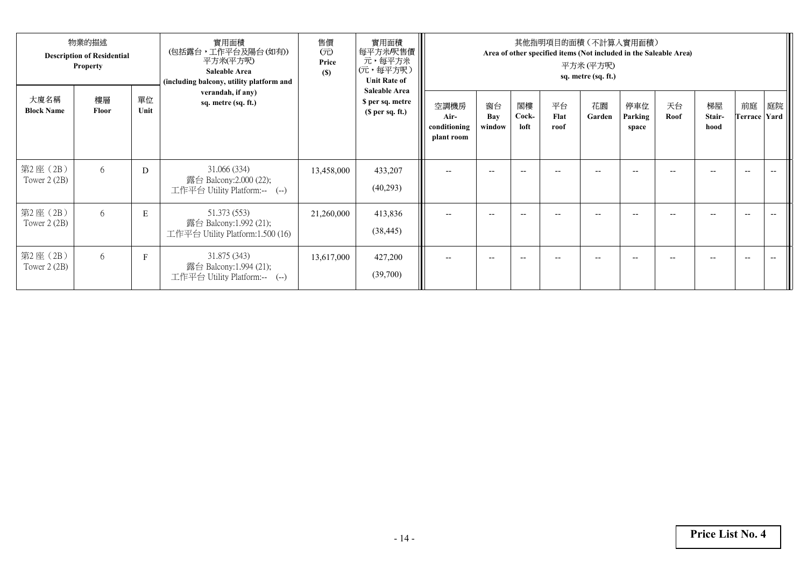| 物業的描述<br><b>Description of Residential</b><br><b>Property</b> |             |            | 實用面積<br>(包括露台,工作平台及陽台 (如有))<br>平方米(平方呎)<br><b>Saleable Area</b><br>(including balcony, utility platform and | 售價<br>$(\overrightarrow{\pi})$<br>Price<br>(S) | 實用面積<br>每平方米/呎售價<br>元,每平方米<br>(元,每平方呎)<br><b>Unit Rate of</b> | 其他指明項目的面積(不計算人實用面積)<br>Area of other specified items (Not included in the Saleable Area)<br>平方米 (平方呎)<br>sq. metre (sq. ft.) |                     |                          |                    |              |                         |            |                      |                          |    |  |
|---------------------------------------------------------------|-------------|------------|-------------------------------------------------------------------------------------------------------------|------------------------------------------------|---------------------------------------------------------------|------------------------------------------------------------------------------------------------------------------------------|---------------------|--------------------------|--------------------|--------------|-------------------------|------------|----------------------|--------------------------|----|--|
| 大廈名稱<br><b>Block Name</b>                                     | 樓層<br>Floor | 單位<br>Unit | verandah, if any)<br>sq. metre (sq. ft.)                                                                    |                                                | <b>Saleable Area</b><br>\$ per sq. metre<br>(\$ per sq. ft.)  | 空調機房<br>Air-<br>conditioning<br>plant room                                                                                   | 窗台<br>Bay<br>window | 閣樓<br>Cock-<br>loft      | 平台<br>Flat<br>roof | 花園<br>Garden | 停車位<br>Parking<br>space | 天台<br>Roof | 梯屋<br>Stair-<br>hood | 前庭<br>Terrace Yard       | 庭院 |  |
| 第2座 (2B)<br>Tower $2(2B)$                                     | 6           | D          | 31.066 (334)<br>露台 Balcony:2.000 (22);<br>工作平台 Utility Platform:-- (--)                                     | 13,458,000                                     | 433,207<br>(40,293)                                           |                                                                                                                              | $- -$               |                          |                    |              |                         |            |                      | $-$                      |    |  |
| 第2座(2B)<br>Tower $2(2B)$                                      | 6           | ${\bf E}$  | 51.373 (553)<br>露台 Balcony:1.992 (21);<br>工作平台 Utility Platform:1.500 (16)                                  | 21,260,000                                     | 413,836<br>(38, 445)                                          |                                                                                                                              | $- -$               | $-$                      |                    | $- -$        | --                      | --         |                      | $\hspace{0.05cm} \ldots$ |    |  |
| 第2座 (2B)<br>Tower $2(2B)$                                     | 6           | F          | 31.875 (343)<br>露台 Balcony:1.994 (21);<br>工作平台 Utility Platform:-- (--)                                     | 13,617,000                                     | 427,200<br>(39,700)                                           | $-$                                                                                                                          | $- -$               | $\overline{\phantom{a}}$ | --                 | $- -$        | $- -$                   | --         |                      | $\hspace{0.05cm} \ldots$ |    |  |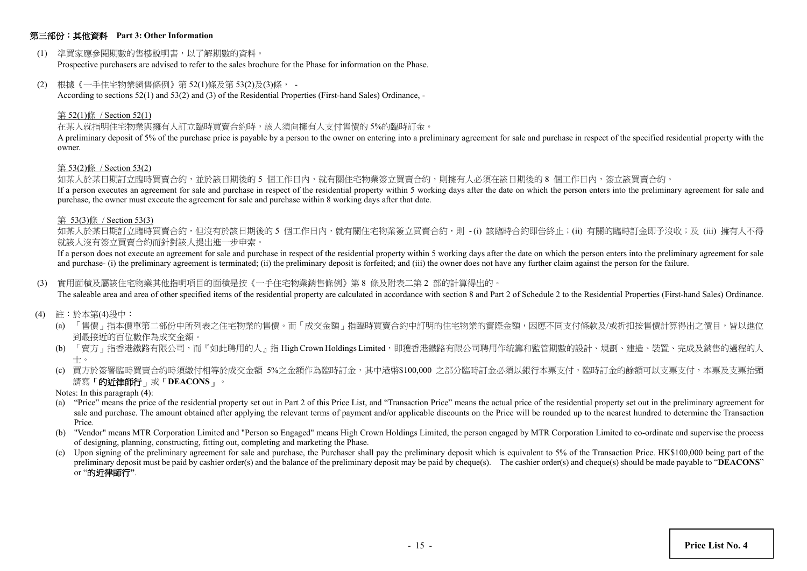## 第三部份:其他資料 **Part 3: Other Information**

(1) 準買家應參閱期數的售樓說明書,以了解期數的資料。

Prospective purchasers are advised to refer to the sales brochure for the Phase for information on the Phase.

(2) 根據《一手住宅物業銷售條例》第 52(1)條及第 53(2)及(3)條, -

According to sections 52(1) and 53(2) and (3) of the Residential Properties (First-hand Sales) Ordinance, -

#### 第 52(1)條 / Section 52(1)

在某人就指明住宅物業與擁有人訂立臨時買賣合約時,該人須向擁有人支付售價的 5%的臨時訂金。

A preliminary deposit of 5% of the purchase price is payable by a person to the owner on entering into a preliminary agreement for sale and purchase in respect of the specified residential property with the owner.

#### 第 53(2)條 / Section 53(2)

如某人於某日期訂立臨時買賣合約,並於該日期後的 5 個工作日內,就有關住宅物業簽立買賣合約,則擁有人必須在該日期後的 8 個工作日內,簽立該買賣合約。

If a person executes an agreement for sale and purchase in respect of the residential property within 5 working days after the date on which the person enters into the preliminary agreement for sale and purchase, the owner must execute the agreement for sale and purchase within 8 working days after that date.

#### 第 53(3)條 / Section 53(3)

如某人於某日期訂立臨時買賣合約,但沒有於該日期後的 5 個工作日内,就有關住宅物業簽立買賣合約,則 -(i) 該臨時合約即告終止;(ii) 有關的臨時訂金即予沒收;及 (iii) 擁有人不得 就該人沒有簽立買賣合約而針對該人提出進一步申索。

If a person does not execute an agreement for sale and purchase in respect of the residential property within 5 working days after the date on which the person enters into the preliminary agreement for sale and purchase- (i) the preliminary agreement is terminated; (ii) the preliminary deposit is forfeited; and (iii) the owner does not have any further claim against the person for the failure.

(3) 實用面積及屬該住宅物業其他指明項目的面積是按《一手住宅物業銷售條例》第 8 條及附表二第 2 部的計算得出的。

The saleable area and area of other specified items of the residential property are calculated in accordance with section 8 and Part 2 of Schedule 2 to the Residential Properties (First-hand Sales) Ordinance.

- (4) 註:於本第(4)段中:
	- (a) 「售價」指本價單第二部份中所列表之住宅物業的售價。而「成交金額」指臨時買賣合約中訂明的住宅物業的實際金額,因應不同支付條款及/或折扣按售價計算得出之價目,皆以進位 到最接近的百位數作為成交金額。
	- (b) 「賣方」指香港鐵路有限公司,而『如此聘用的人』指 High Crown Holdings Limited,即獲香港鐵路有限公司聘用作統籌和監管期數的設計、規劃、建造、裝置、完成及銷售的過程的人 士。
	- (c) 買方於簽署臨時買賣合約時須繳付相等於成交金額 5%之金額作為臨時訂金,其中港幣\$100,000 之部分臨時訂金必須以銀行本票支付,臨時訂金的餘額可以支票支付,本票及支票抬頭 請寫「的近律師行」或「**DEACONS**」。
	- Notes: In this paragraph (4):
	- (a) "Price" means the price of the residential property set out in Part 2 of this Price List, and "Transaction Price" means the actual price of the residential property set out in the preliminary agreement for sale and purchase. The amount obtained after applying the relevant terms of payment and/or applicable discounts on the Price will be rounded up to the nearest hundred to determine the Transaction Price.
	- (b) "Vendor" means MTR Corporation Limited and "Person so Engaged" means High Crown Holdings Limited, the person engaged by MTR Corporation Limited to co-ordinate and supervise the process of designing, planning, constructing, fitting out, completing and marketing the Phase.
	- (c) Upon signing of the preliminary agreement for sale and purchase, the Purchaser shall pay the preliminary deposit which is equivalent to 5% of the Transaction Price. HK\$100,000 being part of the preliminary deposit must be paid by cashier order(s) and the balance of the preliminary deposit may be paid by cheque(s). The cashier order(s) and cheque(s) should be made payable to "**DEACONS**" or "的近律師行**"**.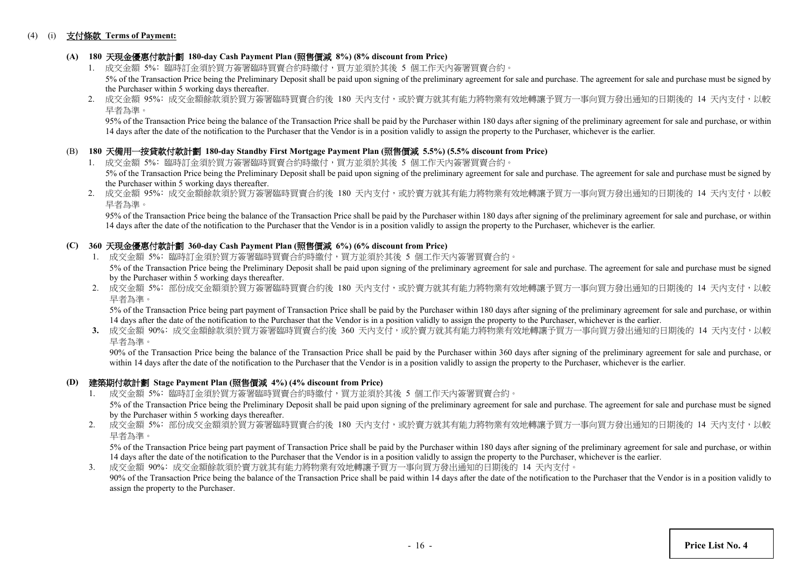#### (4) (i) 支付條款 **Terms of Payment:**

## **(A) 180** 天現金優惠付款計劃 **180-day Cash Payment Plan (**照售價減 **8%) (8% discount from Price)**

- 1. 成交金額 5%: 臨時訂金須於買方簽署臨時買賣合約時繳付,買方並須於其後 5 個工作天内簽署買賣合約。 5% of the Transaction Price being the Preliminary Deposit shall be paid upon signing of the preliminary agreement for sale and purchase. The agreement for sale and purchase must be signed by the Purchaser within 5 working days thereafter.
- 2. 成交金額 95%: 成交金額餘款須於買方簽署臨時買賣合約後 180 天內支付,或於賣方就其有能力將物業有效地轉讓予買方一事向買方發出通知的日期後的 14 天内支付,以較 早者為準。

95% of the Transaction Price being the balance of the Transaction Price shall be paid by the Purchaser within 180 days after signing of the preliminary agreement for sale and purchase, or within 14 days after the date of the notification to the Purchaser that the Vendor is in a position validly to assign the property to the Purchaser, whichever is the earlier.

#### (B) **180** 天備用一按貸款付款計劃 **180-day Standby First Mortgage Payment Plan (**照售價減 **5.5%) (5.5% discount from Price)**

- 1. 成交金額 5%: 臨時訂金須於買方簽署臨時買賣合約時繳付,買方並須於其後 5 個工作天內簽署買賣合約。 5% of the Transaction Price being the Preliminary Deposit shall be paid upon signing of the preliminary agreement for sale and purchase. The agreement for sale and purchase must be signed by the Purchaser within 5 working days thereafter.
- 2. 成交金額 95%: 成交金額餘款須於買方簽署臨時買賣合約後 180 天內支付,或於賣方就其有能力將物業有效地轉讓予買方一事向買方發出通知的日期後的 14 天内支付,以較 早者為準。

 95% of the Transaction Price being the balance of the Transaction Price shall be paid by the Purchaser within 180 days after signing of the preliminary agreement for sale and purchase, or within 14 days after the date of the notification to the Purchaser that the Vendor is in a position validly to assign the property to the Purchaser, whichever is the earlier.

## **(C) 360** 天現金優惠付款計劃 **360-day Cash Payment Plan (**照售價減 **6%) (6% discount from Price)**

- 1. 成交金額 5%: 臨時訂金須於買方簽署臨時買賣合約時繳付,買方並須於其後 5 個工作天內簽署買賣合約。 5% of the Transaction Price being the Preliminary Deposit shall be paid upon signing of the preliminary agreement for sale and purchase. The agreement for sale and purchase must be signed by the Purchaser within 5 working days thereafter.
- 2. 成交金額 5%: 部份成交金額須於買方簽署臨時買賣合約後 180 天內支付,或於賣方就其有能力將物業有效地轉讓予買方一事向買方發出通知的日期後的 14 天內支付,以較 早者為準。

5% of the Transaction Price being part payment of Transaction Price shall be paid by the Purchaser within 180 days after signing of the preliminary agreement for sale and purchase, or within 14 days after the date of the notification to the Purchaser that the Vendor is in a position validly to assign the property to the Purchaser, whichever is the earlier.

3. 成交金額 90%: 成交金額餘款須於買方簽署臨時買賣合約後 360 天内支付,或於賣方就其有能力將物業有效地轉讓予買方一事向買方發出通知的日期後的 14 天内支付,以較 早者為準。

90% of the Transaction Price being the balance of the Transaction Price shall be paid by the Purchaser within 360 days after signing of the preliminary agreement for sale and purchase, or within 14 days after the date of the notification to the Purchaser that the Vendor is in a position validly to assign the property to the Purchaser, whichever is the earlier.

#### **(D)** 建築期付款計劃 **Stage Payment Plan (**照售價減 **4%) (4% discount from Price)**

- 1. 成交金額 5%﹕臨時訂金須於買方簽署臨時買賣合約時繳付,買方並須於其後 5 個工作天內簽署買賣合約。 5% of the Transaction Price being the Preliminary Deposit shall be paid upon signing of the preliminary agreement for sale and purchase. The agreement for sale and purchase must be signed
	- by the Purchaser within 5 working days thereafter.
- 2. 成交金額 5%: 部份成交金額須於買方簽署臨時買賣合約後 180 天內支付,或於賣方就其有能力將物業有效地轉讓予買方一事向買方發出通知的日期後的 14 天内支付,以較 早者為準。

5% of the Transaction Price being part payment of Transaction Price shall be paid by the Purchaser within 180 days after signing of the preliminary agreement for sale and purchase, or within 14 days after the date of the notification to the Purchaser that the Vendor is in a position validly to assign the property to the Purchaser, whichever is the earlier.

3. 成交金額 90%﹕成交金額餘款須於賣方就其有能力將物業有效地轉讓予買方一事向買方發出通知的日期後的 14 天內支付。 90% of the Transaction Price being the balance of the Transaction Price shall be paid within 14 days after the date of the notification to the Purchaser that the Vendor is in a position validly to assign the property to the Purchaser.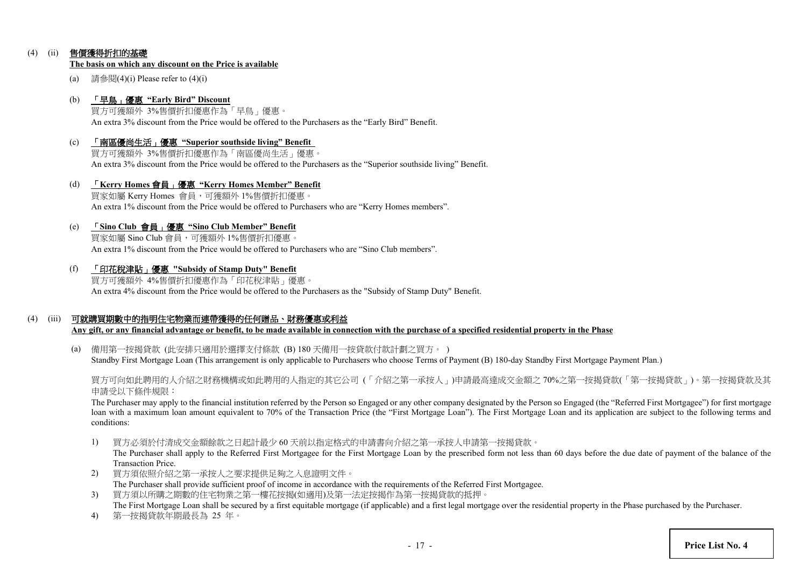## (4) (ii) 售價獲得折扣的基礎

#### **The basis on which any discount on the Price is available**

(a) 請參閱(4)(i) Please refer to  $(4)$ (i)

#### (b) 「早鳥」優惠 **"Early Bird" Discount**

買方可獲額外 3%售價折扣優惠作為「早鳥」優惠。 An extra 3% discount from the Price would be offered to the Purchasers as the "Early Bird" Benefit.

(c) 「南區優尚生活」優惠 **"Superior southside living" Benefit** 買方可獲額外 3%售價折扣優惠作為「南區優尚生活」優惠。

An extra 3% discount from the Price would be offered to the Purchasers as the "Superior southside living" Benefit.

(d) 「**Kerry Homes** 會員」優惠 **"Kerry Homes Member" Benefit** 買家如屬 Kerry Homes 會員,可獲額外 1%售價折扣優惠。 An extra 1% discount from the Price would be offered to Purchasers who are "Kerry Homes members".

#### (e) 「**Sino Club** 會員」優惠 **"Sino Club Member" Benefit**

買家如屬 Sino Club 會員,可獲額外 1%售價折扣優惠。 An extra 1% discount from the Price would be offered to Purchasers who are "Sino Club members".

(f) 「印花稅津貼」優惠 **"Subsidy of Stamp Duty" Benefit**

買方可獲額外 4%售價折扣優惠作為「印花稅津貼」優惠。 An extra 4% discount from the Price would be offered to the Purchasers as the "Subsidy of Stamp Duty" Benefit.

## (4) (iii) 可就購買期數中的指明住宅物業而連帶獲得的任何贈品、財務優惠或利益

**Any gift, or any financial advantage or benefit, to be made available in connection with the purchase of a specified residential property in the Phase**

(a) 備用第一按揭貸款 (此安排只適用於選擇支付條款 (B) 180 天備用一按貸款付款計劃之買方。 ) Standby First Mortgage Loan (This arrangement is only applicable to Purchasers who choose Terms of Payment (B) 180-day Standby First Mortgage Payment Plan.)

買方可向如此聘用的人介紹之財務機構或如此聘用的人指定的其它公司 (「介紹之第一承按人」)申請最高達成交金額之 70%之第一按揭貸款(「第一按揭貸款」)。第一按揭貸款及其 申請受以下條件規限:

The Purchaser may apply to the financial institution referred by the Person so Engaged or any other company designated by the Person so Engaged (the "Referred First Mortgagee") for first mortgage loan with a maximum loan amount equivalent to 70% of the Transaction Price (the "First Mortgage Loan"). The First Mortgage Loan and its application are subject to the following terms and conditions:

1) 買方必須於付清成交金額餘款之日起計最少 60 天前以指定格式的申請書向介紹之第一承按人申請第一按揭貸款。

The Purchaser shall apply to the Referred First Mortgagee for the First Mortgage Loan by the prescribed form not less than 60 days before the due date of payment of the balance of the Transaction Price.

- 2) 買方須依照介紹之第一承按人之要求提供足夠之入息證明文件。 The Purchaser shall provide sufficient proof of income in accordance with the requirements of the Referred First Mortgagee.
- 3) 買方須以所購之期數的住宅物業之第一樓花按揭(如適用)及第一法定按揭作為第一按揭貸款的抵押。 The First Mortgage Loan shall be secured by a first equitable mortgage (if applicable) and a first legal mortgage over the residential property in the Phase purchased by the Purchaser.
- 4) 第一按揭貸款年期最長為 25 年。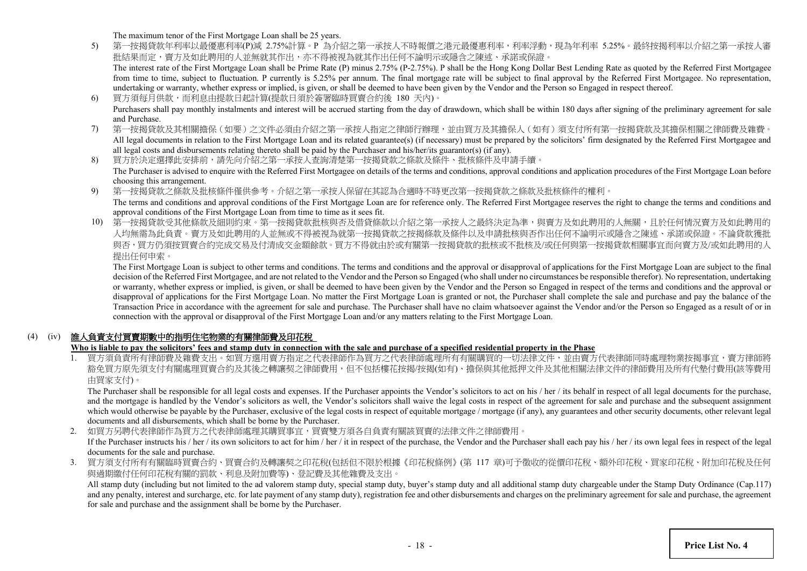The maximum tenor of the First Mortgage Loan shall be 25 years.

5) 第一按揭貸款年利率以最優惠利率(P)減 2.75%計算。P 為介紹之第一承按人不時報價之港元最優惠利率,利率浮動,現為年利率 5.25%。最終按揭利率以介紹之第一承按人審 批結果而定,賣方及如此聘用的人並無就其作出,亦不得被視為就其作出任何不論明示或隱含之陳述、承諾或保證。 The interest rate of the First Mortgage Loan shall be Prime Rate (P) minus 2.75% (P-2.75%). P shall be the Hong Kong Dollar Best Lending Rate as quoted by the Referred First Mortgagee

from time to time, subject to fluctuation. P currently is 5.25% per annum. The final mortgage rate will be subject to final approval by the Referred First Mortgagee. No representation, undertaking or warranty, whether express or implied, is given, or shall be deemed to have been given by the Vendor and the Person so Engaged in respect thereof.

- 6) 買方須每月供款,而利息由提款日起計算(提款日須於簽署臨時買賣合約後 180 天內)。 Purchasers shall pay monthly instalments and interest will be accrued starting from the day of drawdown, which shall be within 180 days after signing of the preliminary agreement for sale and Purchase.
- 7) 第一按揭貸款及其相關擔保(如要)之文件必須由介紹之第一承按人指定之律師行辦理,並由買方及其擔保人(如有)須支付所有第一按揭貸款及其擔保相關之律師費及雜費。 All legal documents in relation to the First Mortgage Loan and its related guarantee(s) (if necessary) must be prepared by the solicitors' firm designated by the Referred First Mortgagee and all legal costs and disbursements relating thereto shall be paid by the Purchaser and his/her/its guarantor(s) (if any).
- 8) 買方於決定選擇此安排前,請先向介紹之第一承按人查詢清楚第一按揭貸款之條款及條件、批核條件及申請手續。 The Purchaser is advised to enquire with the Referred First Mortgagee on details of the terms and conditions, approval conditions and application procedures of the First Mortgage Loan before choosing this arrangement.
- 9) 第一按揭貸款之條款及批核條件僅供參考。介紹之第一承按人保留在其認為合適時不時更改第一按揭貸款之條款及批核條件的權利。 The terms and conditions and approval conditions of the First Mortgage Loan are for reference only. The Referred First Mortgagee reserves the right to change the terms and conditions and approval conditions of the First Mortgage Loan from time to time as it sees fit.
- 10) 第一按揭貸款受其他條款及細則約束。第一按揭貸款批核與否及借貸條款以介紹之第一承按人之最終決定為準,與賣方及如此聘用的人無關,且於任何情況賣方及如此聘用的 人均無需為此負責。賣方及如此聘用的人並無或不得被視為就第一按揭貸款之按揭條款及條件以及申請批核與否作出任何不論明示或隱含之陳述、承諾或保證。不論貸款獲批 與否,買方仍須按買賣合約完成交易及付清成交金額餘款。買方不得就由於或有關第一按揭貸款的批核或不批核及/或任何與第一按揭貸款相關事宜而向賣方及/或如此聘用的人 提出任何申索。

The First Mortgage Loan is subject to other terms and conditions. The terms and conditions and the approval or disapproval of applications for the First Mortgage Loan are subject to the final decision of the Referred First Mortgagee, and are not related to the Vendor and the Person so Engaged (who shall under no circumstances be responsible therefor). No representation, undertaking or warranty, whether express or implied, is given, or shall be deemed to have been given by the Vendor and the Person so Engaged in respect of the terms and conditions and the approval or disapproval of applications for the First Mortgage Loan. No matter the First Mortgage Loan is granted or not, the Purchaser shall complete the sale and purchase and pay the balance of the Transaction Price in accordance with the agreement for sale and purchase. The Purchaser shall have no claim whatsoever against the Vendor and/or the Person so Engaged as a result of or in connection with the approval or disapproval of the First Mortgage Loan and/or any matters relating to the First Mortgage Loan.

## (4) (iv) 誰人負責支付買賣期數中的指明住宅物業的有關律師費及印花稅

## **Who is liable to pay the solicitors' fees and stamp duty in connection with the sale and purchase of a specified residential property in the Phase**

1. 買方須負責所有律師費及雜費支出。如買方選用賣方指定之代表律師作為買方之代表律師處理所有有關購買的一切法律文件,並由賣方代表律師同時處理物業按揭事宜,賣方律師將 豁免買方原先須支付有關處理買賣合約及其後之轉讓契之律師費用,但不包括樓花按揭/按揭(如有)、擔保與其他抵押文件及其他相關法律文件的律師費用及所有代墊付費用(該等費用 由買家支付)。

The Purchaser shall be responsible for all legal costs and expenses. If the Purchaser appoints the Vendor's solicitors to act on his / her / its behalf in respect of all legal documents for the purchase, and the mortgage is handled by the Vendor's solicitors as well, the Vendor's solicitors shall waive the legal costs in respect of the agreement for sale and purchase and the subsequent assignment which would otherwise be payable by the Purchaser, exclusive of the legal costs in respect of equitable mortgage / mortgage (if any), any guarantees and other security documents, other relevant legal documents and all disbursements, which shall be borne by the Purchaser.

2. 如買方另聘代表律師作為買方之代表律師處理其購買事宜,買賣雙方須各自負責有關該買賣的法律文件之律師費用。 If the Purchaser instructs his / her / its own solicitors to act for him / her / it in respect of the purchase, the Vendor and the Purchaser shall each pay his / her / its own legal fees in respect of the legal documents for the sale and purchase.

3. 買方須支付所有有關臨時買賣合約、買賣合約及轉讓契之印花稅(包括但不限於根據《印花稅條例》(第 117 章)可予徵收的從價印花稅、額外印花稅、買家印花稅、附加印花稅及任何 與過期繳付任何印花稅有關的罰款、利息及附加費等)、登記費及其他雜費及支出。

All stamp duty (including but not limited to the ad valorem stamp duty, special stamp duty, buyer's stamp duty and all additional stamp duty chargeable under the Stamp Duty Ordinance (Cap.117) and any penalty, interest and surcharge, etc. for late payment of any stamp duty), registration fee and other disbursements and charges on the preliminary agreement for sale and purchase, the agreement for sale and purchase and the assignment shall be borne by the Purchaser.